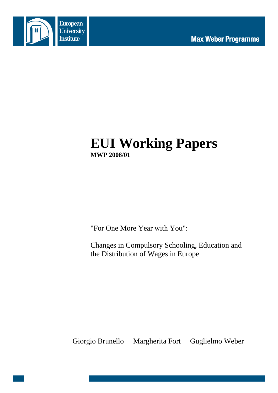



# **EUI Working Papers MWP 2008/01**

"For One More Year with You":

Changes in Compulsory Schooling, Education and the Distribution of Wages in Europe

Giorgio Brunello Margherita Fort Guglielmo Weber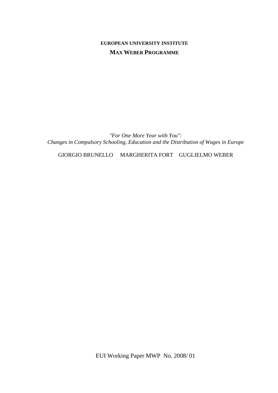## **EUROPEAN UNIVERSITY INSTITUTE MAX WEBER PROGRAMME**

*"For One More Year with You": Changes in Compulsory Schooling, Education and the Distribution of Wages in Europe* 

GIORGIO BRUNELLO MARGHERITA FORT GUGLIELMO WEBER

EUI Working Paper MWP No. 2008/ 01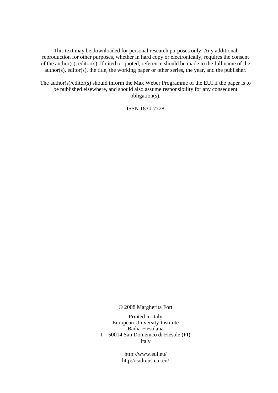This text may be downloaded for personal research purposes only. Any additional reproduction for other purposes, whether in hard copy or electronically, requires the consent of the author(s), editor(s). If cited or quoted, reference should be made to the full name of the author(s), editor(s), the title, the working paper or other series, the year, and the publisher.

The author(s)/editor(s) should inform the Max Weber Programme of the EUI if the paper is to be published elsewhere, and should also assume responsibility for any consequent obligation(s).

ISSN 1830-7728

© 2008 Margherita Fort

Printed in Italy European University Institute Badia Fiesolana I – 50014 San Domenico di Fiesole (FI) Italy

> http://www.eui.eu/ http://cadmus.eui.eu/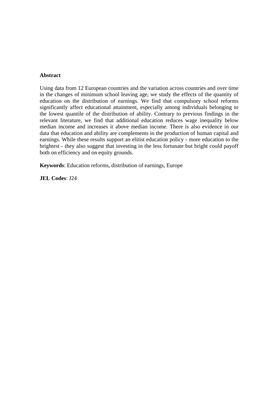#### **Abstract**

Using data from 12 European countries and the variation across countries and over time in the changes of minimum school leaving age, we study the effects of the quantity of education on the distribution of earnings. We find that compulsory school reforms significantly affect educational attainment, especially among individuals belonging to the lowest quantile of the distribution of ability. Contrary to previous findings in the relevant literature, we find that additional education reduces wage inequality below median income and increases it above median income. There is also evidence in our data that education and ability are complements in the production of human capital and earnings. While these results support an elitist education policy - more education to the brightest - they also suggest that investing in the less fortunate but bright could payoff both on efficiency and on equity grounds.

**Keywords**: Education reforms, distribution of earnings, Europe

**JEL Codes**: J24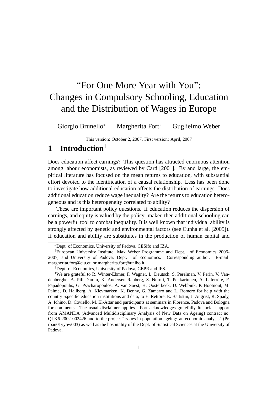# "For One More Year with You": Changes in Compulsory Schooling, Education and the Distribution of Wages in Europe

Giorgio Brunello<sup>∗</sup> Margherita Fort† Guglielmo Weber‡

This version: October 2, 2007. First version: April, 2007

## **1 Introduction**<sup>1</sup>

Does education affect earnings? This question has attracted enormous attention among labour economists, as reviewed by Card [2001]. By and large, the empirical literature has focused on the mean returns to education, with substantial effort devoted to the identification of a causal relationship. Less has been done to investigate how additional education affects the distribution of earnings. Does additional education reduce wage inequality? Are the returns to education heterogeneous and is this heterogeneity correlated to ability?

These are important policy questions. If education reduces the dispersion of earnings, and equity is valued by the policy- maker, then additional schooling can be a powerful tool to combat inequality. It is well known that individual ability is strongly affected by genetic and environmental factors (see Cunha et al. [2005]). If education and ability are substitutes in the production of human capital and

<sup>∗</sup>Dept. of Economics, University of Padova, CESifo and IZA.

<sup>†</sup>European University Institute, Max Weber Programme and Dept. of Economics 2006- 2007, and University of Padova, Dept. of Economics. Corresponding author. E-mail: margherita.fort@eiu.eu or margherita.fort@unibo.it.

<sup>‡</sup>Dept. of Economics, University of Padova, CEPR and IFS.

<sup>&</sup>lt;sup>1</sup>We are grateful to R. Winter-Ebmer, F. Wagner, L. Deutsch, S. Perelman, V. Perin, V. Vandenberghe, A. Pill Damm, K. Andersen Ranberg, S. Nurmi, T. Pekkarinnen, A. Laferrére, F. Papadopoulis, G. Psacharopoulos, A. van Soest, H. Oosterbeek, D. Webbink, P. Hootnout, M. Palme, D. Hallberg, A. Klevmarken, K. Denny, G. Zamarro and L. Romero for help with the country -specific education institutions and data, to E. Rettore, E. Battistin, J. Angrist, R. Spady, A. Ichino, D. Coviello, M. El-Attar and participants at seminars in Florence, Padova and Bologna for comments. The usual disclaimer applies. Fort acknowledges gratefully financial support from AMANDA (Advanced Multidisciplinary Analysis of New Data on Ageing) contract no. QLK6-2002-002426 and to the project "Issues in population ageing: an economic analysis" (Pr. rbau01yyhw003) as well as the hospitality of the Dept. of Statistical Sciences at the University of Padova.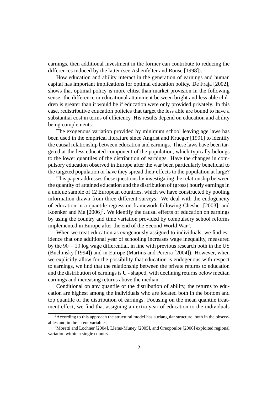earnings, then additional investment in the former can contribute to reducing the differences induced by the latter (see Ashenfelter and Rouse [1998]).

How education and ability interact in the generation of earnings and human capital has important implications for optimal education policy. De Fraja [2002], shows that optimal policy is more elitist than market provision in the following sense: the difference in educational attainment between bright and less able children is greater than it would be if education were only provided privately. In this case, redistributive education policies that target the less able are bound to have a substantial cost in terms of efficiency. His results depend on education and ability being complements.

The exogenous variation provided by minimum school leaving age laws has been used in the empirical literature since Angrist and Krueger [1991] to identify the causal relationship between education and earnings. These laws have been targeted at the less educated component of the population, which typically belongs to the lower quantiles of the distribution of earnings. Have the changes in compulsory education observed in Europe after the war been particularly beneficial to the targeted population or have they spread their effects to the population at large?

This paper addresses these questions by investigating the relationship between the quantity of attained education and the distribution of (gross) hourly earnings in a unique sample of 12 European countries, which we have constructed by pooling information drawn from three different surveys. We deal with the endogeneity of education in a quantile regression framework following Chesher [2003], and Koenker and Ma  $[2006]^2$ . We identify the causal effects of education on earnings by using the country and time variation provided by compulsory school reforms implemented in Europe after the end of the Second World War<sup>3</sup>.

When we treat education as exogenously assigned to individuals, we find evidence that one additional year of schooling increases wage inequality, measured by the  $90 - 10$  log wage differential, in line with previous research both in the US (Buchinsky [1994]) and in Europe (Martins and Pereira [2004]). However, when we explicitly allow for the possibility that education is endogenous with respect to earnings, we find that the relationship between the private returns to education and the distribution of earnings is U - shaped, with declining returns below median earnings and increasing returns above the median.

Conditional on any quantile of the distribution of ability, the returns to education are highest among the individuals who are located both in the bottom and top quantile of the distribution of earnings. Focusing on the mean quantile treatment effect, we find that assigning an extra year of education to the individuals

<sup>&</sup>lt;sup>2</sup> According to this approach the structural model has a triangular structure, both in the observables and in the latent variables.

<sup>&</sup>lt;sup>3</sup>Moretti and Lochner [2004], Lleras-Muney [2005], and Oreopoulos [2006] exploited regional variation within a single country.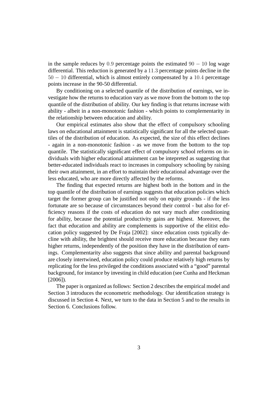in the sample reduces by 0.9 percentage points the estimated  $90 - 10$  log wage differential. This reduction is generated by a 11.3 percentage points decline in the 50 − 10 differential, which is almost entirely compensated by a 10.4 percentage points increase in the 90-50 differential.

By conditioning on a selected quantile of the distribution of earnings, we investigate how the returns to education vary as we move from the bottom to the top quantile of the distribution of ability. Our key finding is that returns increase with ability - albeit in a non-monotonic fashion - which points to complementarity in the relationship between education and ability.

Our empirical estimates also show that the effect of compulsory schooling laws on educational attainment is statistically significant for all the selected quantiles of the distribution of education. As expected, the size of this effect declines - again in a non-monotonic fashion - as we move from the bottom to the top quantile. The statistically significant effect of compulsory school reforms on individuals with higher educational attainment can be intepreted as suggesting that better-educated individuals react to increases in compulsory schooling by raising their own attainment, in an effort to maintain their educational advantage over the less educated, who are more directly affected by the reforms.

The finding that expected returns are highest both in the bottom and in the top quantile of the distribution of earnings suggests that education policies which target the former group can be justified not only on equity grounds - if the less fortunate are so because of circumstances beyond their control - but also for efficiency reasons if the costs of education do not vary much after conditioning for ability, because the potential productivity gains are highest. Moreover, the fact that education and ability are complements is supportive of the elitist education policy suggested by De Fraja [2002]: since education costs typically decline with ability, the brightest should receive more education because they earn higher returns, independently of the position they have in the distribution of earnings. Complementarity also suggests that since ability and parental background are closely intertwined, education policy could produce relatively high returns by replicating for the less privileged the conditions associated with a "good" parental background, for instance by investing in child education (see Cunha and Heckman [2006]).

The paper is organized as follows: Section 2 describes the empirical model and Section 3 introduces the econometric methodology. Our identification strategy is discussed in Section 4. Next, we turn to the data in Section 5 and to the results in Section 6. Conclusions follow.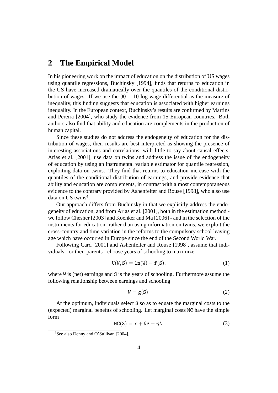# **2 The Empirical Model**

In his pioneering work on the impact of education on the distribution of US wages using quantile regressions, Buchinsky [1994], finds that returns to education in the US have increased dramatically over the quantiles of the conditional distribution of wages. If we use the  $90 - 10$  log wage differential as the measure of inequality, this finding suggests that education is associated with higher earnings inequality. In the European context, Buchinsky's results are confirmed by Martins and Pereira [2004], who study the evidence from 15 European countries. Both authors also find that ability and education are complements in the production of human capital.

Since these studies do not address the endogeneity of education for the distribution of wages, their results are best interpreted as showing the presence of interesting associations and correlations, with little to say about causal effects. Arias et al. [2001], use data on twins and address the issue of the endogeneity of education by using an instrumental variable estimator for quantile regression, exploiting data on twins. They find that returns to education increase with the quantiles of the conditional distribution of earnings, and provide evidence that ability and education are complements, in contrast with almost contemporaneous evidence to the contrary provided by Ashenfelter and Rouse [1998], who also use data on US twins<sup>4</sup>.

Our approach differs from Buchinsky in that we explicitly address the endogeneity of education, and from Arias et al. [2001], both in the estimation method we follow Chesher [2003] and Koenker and Ma [2006] - and in the selection of the instruments for education: rather than using information on twins, we exploit the cross-country and time variation in the reforms to the compulsory school leaving age which have occurred in Europe since the end of the Second World War.

Following Card [2001] and Ashenfelter and Rouse [1998], assume that individuals - or their parents - choose years of schooling to maximize

$$
U(W, S) = \ln(W) - f(S), \qquad (1)
$$

where W is (net) earnings and S is the years of schooling. Furthermore assume the following relationship between earnings and schooling

$$
W = g(S). \tag{2}
$$

At the optimum, individuals select S so as to equate the marginal costs to the (expected) marginal benefits of schooling. Let marginal costs MC have the simple form

$$
MC(S) = r + \theta S - \eta A, \qquad (3)
$$

<sup>4</sup>See also Denny and O'Sullivan [2004].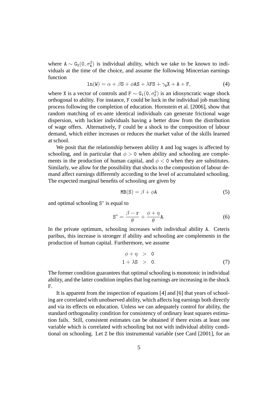where  $A \sim G_2(0, \sigma_A^2)$  is individual ability, which we take to be known to individuals at the time of the choice, and assume the following Mincerian earnings function

$$
\ln(W) = \alpha + \beta S + \phi A S + \lambda FS + \gamma_W X + A + F,
$$
\n(4)

where X is a vector of controls and  $F \sim G_1(0, \sigma_F^2)$  is an idiosyncratic wage shock orthogonal to ability. For instance, F could be luck in the individual job matching process following the completion of education. Hornstein et al. [2006], show that random matching of ex-ante identical individuals can generate frictional wage dispersion, with luckier individuals having a better draw from the distribution of wage offers. Alternatively, F could be a shock to the composition of labour demand, which either increases or reduces the market value of the skills learned at school.

We posit that the relationship between ability A and log wages is affected by schooling, and in particular that  $\phi > 0$  when ability and schooling are complements in the production of human capital, and  $\phi < 0$  when they are substitutes. Similarly, we allow for the possibility that shocks to the composition of labour demand affect earnings differently according to the level of accumulated schooling. The expected marginal benefits of schooling are given by

$$
MB(S) = \beta + \phi A \tag{5}
$$

and optimal schooling S<sup>\*</sup> is equal to

$$
S^* = \frac{\beta - r}{\theta} + \frac{\phi + \eta}{\theta} A.
$$
 (6)

In the private optimum, schooling increases with individual ability A. Ceteris paribus, this increase is stronger if ability and schooling are complements in the production of human capital. Furthermore, we assume

$$
\begin{array}{rcl}\n\phi + \eta > & 0 \\
1 + \lambda S > & 0.\n\end{array} \tag{7}
$$

The former condition guarantees that optimal schooling is monotonic in individual ability, and the latter condition implies that log earnings are increasing in the shock F.

It is apparent from the inspection of equations [4] and [6] that years of schooling are correlated with unobserved ability, which affects log earnings both directly and via its effects on education. Unless we can adequately control for ability, the standard orthogonality condition for consistency of ordinary least squares estimation fails. Still, consistent estimates can be obtained if there exists at least one variable which is correlated with schooling but not with individual ability conditional on schooling. Let Z be this instrumental variable (see Card [2001], for an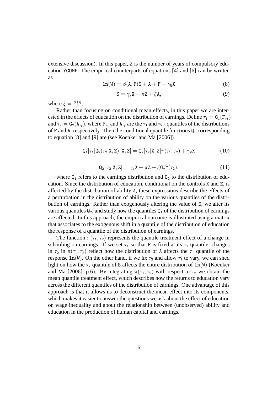extensive discussion). In this paper, Z is the number of years of compulsory education YCOMP. The empirical counterparts of equations [4] and [6] can be written as

$$
\ln(W) = \beta(A, F)S + A + F + \gamma_W X \tag{8}
$$

$$
S = \gamma_s X + \pi Z + \xi A,\tag{9}
$$

where  $\xi = \frac{\phi + \eta}{\theta}$  $\frac{+\eta}{\theta} .$ 

Rather than focusing on conditional mean effects, in this paper we are interested in the effects of education on the distribution of earnings. Define  $\tau_1 = \texttt{G}_1(\texttt{F}_{\tau_1})$ and  $\tau_2 = G_2(A_{\tau_2})$ , where  $F_{\tau_1}$  and  $A_{\tau_2}$  are the  $\tau_1$  and  $\tau_2$  - quantiles of the distributions of F and A, respectively. Then the conditional quantile functions  $Q_i$  corresponding to equation [8] and [9] are (see Koenker and Ma [2006])

$$
Q_1[\tau_1|Q_2(\tau_2|X,Z),X,Z] = Q_2[\tau_2|X,Z]\pi(\tau_1,\tau_2) + \gamma_W X
$$
 (10)

$$
Q_2 [\tau_2 | X, Z] = \gamma_s X + \pi Z + \xi G_2^{-1}(\tau_2), \qquad (11)
$$

where  $Q_1$  refers to the earnings distribution and  $Q_2$  to the distribution of education. Since the distribution of education, conditional on the controls X and Z, is affected by the distribution of ability A, these expressions describe the effects of a perturbation in the distribution of ability on the various quantiles of the distribution of earnings. Rather than exogenously altering the value of S, we alter its various quantiles  $Q_2$ , and study how the quantiles  $Q_1$  of the distribution of earnings are affected. In this approach, the empirical outcome is illustrated using a matrix that associates to the exogenous shift in a quantile of the distribution of education the response of a quantile of the distribution of earnings.

The function  $\pi(\tau_1, \tau_2)$  represents the quantile treatment effect of a change in schooling on earnings. If we set  $\tau_1$  so that F is fixed at its  $\tau_1$  quantile, changes in  $\tau_2$  in  $\pi(\tau_1, \tau_2)$  reflect how the distribution of A affects the  $\tau_1$  quantile of the response ln(W). On the other hand, if we fix  $\tau_2$  and allow  $\tau_1$  to vary, we can shed light on how the  $\tau_2$  quantile of S affects the entire distribution of  $\text{ln}(W)$  (Koenker and Ma [2006], p.6). By integrating  $\pi(\tau_1, \tau_2)$  with respect to  $\tau_2$  we obtain the mean quantile treatment effect, which describes how the returns to education vary across the different quantiles of the distribution of earnings. One advantage of this approach is that it allows us to deconstruct the mean effect into its components, which makes it easier to answer the questions we ask about the effect of education on wage inequality and about the relationship between (unobserved) ability and education in the production of human capital and earnings.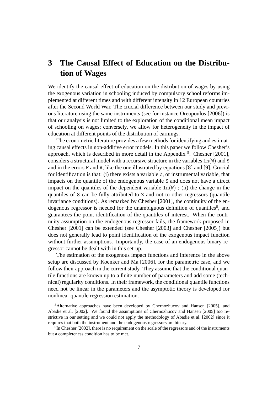# **3 The Causal Effect of Education on the Distribution of Wages**

We identify the causal effect of education on the distribution of wages by using the exogenous variation in schooling induced by compulsory school reforms implemented at different times and with different intensity in 12 European countries after the Second World War. The crucial difference between our study and previous literature using the same instruments (see for instance Oreopoulos [2006]) is that our analysis is not limited to the exploration of the conditional mean impact of schooling on wages; conversely, we allow for heterogeneity in the impact of education at different points of the distribution of earnings.

The econometric literature provides a few methods for identifying and estimating causal effects in non-additive error models. In this paper we follow Chesher's approach, which is described in more detail in the Appendix<sup>5</sup>. Chesher [2001], considers a structural model with a recursive structure in the variables  $ln(W)$  and S and in the errors F and A, like the one illustrated by equations [8] and [9]. Crucial for identification is that: (i) there exists a variable Z, or instrumental variable, that impacts on the quantile of the endogenous variable S and does not have a direct impact on the quantiles of the dependent variable  $ln(W)$ ; (ii) the change in the quantiles of S can be fully attributed to Z and not to other regressors (quantile invariance conditions). As remarked by Chesher [2001], the continuity of the endogenous regressor is needed for the unambiguous definition of quantiles<sup>6</sup>, and guarantees the point identification of the quantiles of interest. When the continuity assumption on the endogenous regressor fails, the framework proposed in Chesher [2001] can be extended (see Chesher [2003] and Chesher [2005]) but does not generally lead to point identification of the exogenous impact function without further assumptions. Importantly, the case of an endogenous binary regressor cannot be dealt with in this set-up.

The estimation of the exogenous impact functions and inference in the above setup are discussed by Koenker and Ma [2006], for the parametric case, and we follow their approach in the current study. They assume that the conditional quantile functions are known up to a finite number of parameters and add some (technical) regularity conditions. In their framework, the conditional quantile functions need not be linear in the parameters and the asymptotic theory is developed for nonlinear quantile regression estimation.

<sup>5</sup>Alternative approaches have been developed by Chernozhucov and Hansen [2005], and Abadie et al. [2002]. We found the assumptions of Chernozhucov and Hansen [2005] too restrictive in our setting and we could not apply the methodology of Abadie et al. [2002] since it requires that both the instrument and the endogenous regressors are binary.

 ${}^{6}$ In Chesher [2002], there is no requirement on the scale of the regressors and of the instruments but a completeness condition has to be met.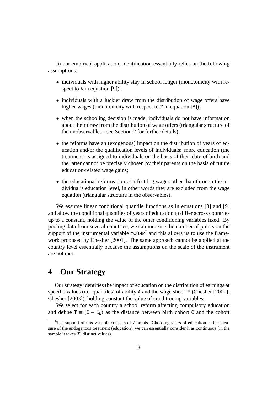In our empirical application, identification essentially relies on the following assumptions:

- individuals with higher ability stay in school longer (monotonicity with respect to A in equation [9]);
- individuals with a luckier draw from the distribution of wage offers have higher wages (monotonicity with respect to F in equation [8]);
- when the schooling decision is made, individuals do not have information about their draw from the distribution of wage offers (triangular structure of the unobservables - see Section 2 for further details);
- the reforms have an (exogenous) impact on the distribution of years of education and/or the qualification levels of individuals: more education (the treatment) is assigned to individuals on the basis of their date of birth and the latter cannot be precisely chosen by their parents on the basis of future education-related wage gains;
- the educational reforms do not affect log wages other than through the individual's education level, in other words they are excluded from the wage equation (triangular structure in the observables).

We assume linear conditional quantile functions as in equations [8] and [9] and allow the conditional quantiles of years of education to differ across countries up to a constant, holding the value of the other conditioning variables fixed. By pooling data from several countries, we can increase the number of points on the support of the instrumental variable  $YCOMP^7$  and this allows us to use the framework proposed by Chesher [2001]. The same approach cannot be applied at the country level essentially because the assumptions on the scale of the instrument are not met.

# **4 Our Strategy**

Our strategy identifies the impact of education on the distribution of earnings at specific values (i.e. quantiles) of ability A and the wage shock F (Chesher [2001], Chesher [2003]), holding constant the value of conditioning variables.

We select for each country a school reform affecting compulsory education and define  $T \equiv (C - \bar{c}_k)$  as the distance between birth cohort C and the cohort

<sup>&</sup>lt;sup>7</sup>The support of this variable consists of 7 points. Choosing years of education as the measure of the endogenous treatment (education), we can essentially consider it as continuous (in the sample it takes 33 distinct values).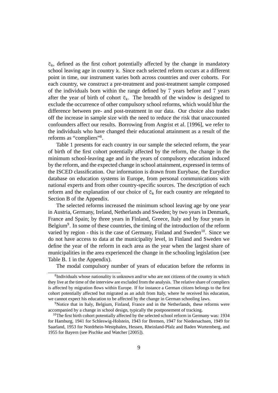$\bar{c}_k$ , defined as the first cohort potentially affected by the change in mandatory school leaving age in country k. Since each selected reform occurs at a different point in time, our instrument varies both across countries and over cohorts. For each country, we construct a pre-treatment and post-treatment sample composed of the individuals born within the range defined by 7 years before and 7 years after the year of birth of cohort  $\bar{c}_k$ . The breadth of the window is designed to exclude the occurrence of other compulsory school reforms, which would blur the difference between pre- and post-treatment in our data. Our choice also trades off the increase in sample size with the need to reduce the risk that unaccounted confounders affect our results. Borrowing from Angrist et al. [1996], we refer to the individuals who have changed their educational attainment as a result of the reforms as "compliers"<sup>8</sup>.

Table 1 presents for each country in our sample the selected reform, the year of birth of the first cohort potentially affected by the reform, the change in the minimum school-leaving age and in the years of compulsory education induced by the reform, and the expected change in school attainment, expressed in terms of the ISCED classification. Our information is drawn from Eurybase, the Eurydice database on education systems in Europe, from personal communications with national experts and from other country-specific sources. The description of each reform and the explanation of our choice of  $\bar{c}_k$  for each country are relegated to Section B of the Appendix.

The selected reforms increased the minimum school leaving age by one year in Austria, Germany, Ireland, Netherlands and Sweden; by two years in Denmark, France and Spain; by three years in Finland, Greece, Italy and by four years in Belgium<sup>9</sup>. In some of these countries, the timing of the introduction of the reform varied by region - this is the case of Germany, Finland and Sweden<sup>10</sup>. Since we do not have access to data at the municipality level, in Finland and Sweden we define the year of the reform in each area as the year when the largest share of municipalities in the area experienced the change in the schooling legislation (see Table B. 1 in the Appendix).

The modal compulsory number of years of education before the reforms in

<sup>&</sup>lt;sup>8</sup>Individuals whose nationality is unknown and/or who are not citizens of the country in which they live at the time of the interview are excluded from the analysis. The relative share of compliers is affected by migration flows within Europe. If for instance a German citizen belongs to the first cohort potentially affected but migrated as an adult from Italy, where he received his education, we cannot expect his education to be affected by the change in German schooling laws.

<sup>&</sup>lt;sup>9</sup>Notice that in Italy, Belgium, Finland, France and in the Netherlands, these reforms were accompanied by a change in school design, typically the postponement of tracking.

<sup>&</sup>lt;sup>10</sup>The first birth cohort potentially affected by the selected school reform in Germany was: 1934 for Hamburg, 1941 for Schleswig-Holstein, 1943 for Bremen, 1947 for Niedersachsen, 1949 for Saarland, 1953 for Nordrhein-Westphalen, Hessen, Rheinland-Pfalz and Baden Wurtemberg, and 1955 for Bayern (see Pischke and Watcher [2005]).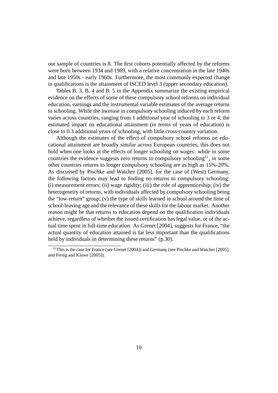our sample of countries is 8. The first cohorts potentially affected by the reforms were born between 1934 and 1969, with a relative concentration in the late 1940s and late 1950s - early 1960s. Furthermore, the most commonly expected change in qualifications is the attainment of ISCED level 3 (upper secondary education).

Tables B. 3, B. 4 and B. 5 in the Appendix summarize the existing empirical evidence on the effects of some of these compulsory school reforms on individual education, earnings and the instrumental variable estimates of the average returns to schooling. While the increase in compulsory schooling induced by each reform varies across countries, ranging from 1 additional year of schooling to 3 or 4, the estimated impact on educational attainment (in terms of years of education) is close to 0.3 additional years of schooling, with little cross-country variation.

Although the estimates of the effect of compulsory school reforms on educational attainment are broadly similar across European countries, this does not hold when one looks at the effects of longer schooling on wages: while in some countries the evidence suggests zero returns to compulsory schooling<sup>11</sup>, in some other countries returns to longer compulsory schooling are as high as 15%-20%. As discussed by Pischke and Watcher [2005], for the case of (West) Germany, the following factors may lead to finding no returns to compulsory schooling: (i) measurement errors; (ii) wage rigidity; (iii) the role of apprenticeship; (iv) the heterogeneity of returns, with individuals affected by compulsory schooling being the "low-return" group; (v) the type of skills learned in school around the time of school-leaving age and the relevance of these skills for the labour market. Another reason might be that returns to education depend on the qualification individuals achieve, regardless of whether the issued certification has legal value, or of the actual time spent in full-time education. As Grenet [2004], suggests for France, "the actual quantity of education attained is far less important than the qualifications held by individuals in determining these returns" (p.30).

 $11$ This is the case for France (see Grenet [2004]) and Germany (see Pischke and Watcher [2005], and Fertig and Kluwe [2005]).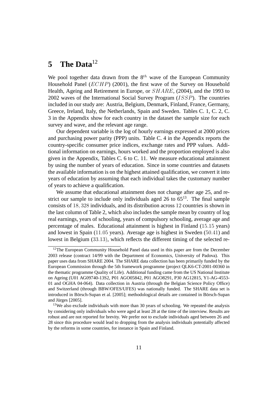# **5 The Data**<sup>12</sup>

We pool together data drawn from the  $8<sup>th</sup>$  wave of the European Community Household Panel  $(ECHP)$  (2001), the first wave of the Survey on Household Health, Ageing and Retirement in Europe, or SHARE, (2004), and the 1993 to 2002 waves of the International Social Survey Program (ISSP). The countries included in our study are: Austria, Belgium, Denmark, Finland, France, Germany, Greece, Ireland, Italy, the Netherlands, Spain and Sweden. Tables C. 1, C. 2, C. 3 in the Appendix show for each country in the dataset the sample size for each survey and wave, and the relevant age range.

Our dependent variable is the log of hourly earnings expressed at 2000 prices and purchasing power parity (PPP) units. Table C. 4 in the Appendix reports the country-specific consumer price indices, exchange rates and PPP values. Additional information on earnings, hours worked and the proportion employed is also given in the Appendix, Tables C. 6 to C. 11. We measure educational attainment by using the number of years of education. Since in some countries and datasets the available information is on the highest attained qualification, we convert it into years of education by assuming that each individual takes the customary number of years to achieve a qualification.

We assume that educational attainment does not change after age 25, and restrict our sample to include only individuals aged 26 to  $65<sup>13</sup>$ . The final sample consists of 18, 328 individuals, and its distribution across 12 countries is shown in the last column of Table 2, which also includes the sample mean by country of log real earnings, years of schooling, years of compulsory schooling, average age and percentage of males. Educational attainment is highest in Finland (15.15 years) and lowest in Spain (11.05 years). Average age is highest in Sweden (50.41) and lowest in Belgium (33.13), which reflects the different timing of the selected re-

<sup>&</sup>lt;sup>12</sup>The European Community Household Panel data used in this paper are from the December 2003 release (contract 14/99 with the Department of Economics, University of Padova). This paper uses data from SHARE 2004. The SHARE data collection has been primarily funded by the European Commission through the 5th framework programme (project QLK6-CT-2001-00360 in the thematic programme Quality of Life). Additional funding came from the US National Institute on Ageing (U01 AG09740-13S2, P01 AGO05842, P01 AGO8291, P30 AG12815, Y1-AG-4553- 01 and OGHA 04-064). Data collection in Austria (through the Belgian Science Policy Office) and Switzerland (through BBW/OFES/UFES) was nationally funded. The SHARE data set is introduced in Börsch-Supan et al. [2005]; methodological details are contained in Börsch-Supan and Jürges [2005].

<sup>&</sup>lt;sup>13</sup>We also exclude individuals with more than 30 years of schooling. We repeated the analysis by considering only individuals who were aged at least 28 at the time of the interview. Results are robust and are not reported for brevity. We prefer not to exclude individuals aged between 26 and 28 since this procedure would lead to dropping from the analysis individuals potentially affected by the reforms in some countries, for instance in Spain and Finland.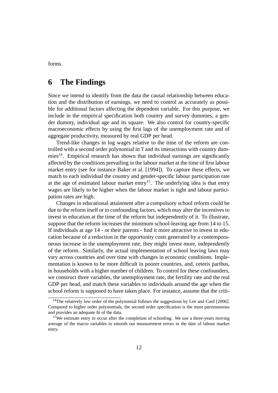forms.

# **6 The Findings**

Since we intend to identify from the data the causal relationship between education and the distribution of earnings, we need to control as accurately as possible for additional factors affecting the dependent variable. For this purpose, we include in the empirical specification both country and survey dummies, a gender dummy, individual age and its square. We also control for country-specific macroeconomic effects by using the first lags of the unemployment rate and of aggregate productivity, measured by real GDP per head.

Trend-like changes in log wages relative to the time of the reform are controlled with a second order polynomial in T and its interactions with country dum $mies<sup>14</sup>$ . Empirical research has shown that individual earnings are significantly affected by the conditions prevailing in the labour market at the time of first labour market entry (see for instance Baker et al. [1994]). To capture these effects, we match to each individual the country and gender-specific labour participation rate at the age of estimated labour market entry<sup>15</sup>. The underlying idea is that entry wages are likely to be higher when the labour market is tight and labour participation rates are high.

Changes in educational attainment after a compulsory school reform could be due to the reform itself or to confounding factors, which may alter the incentives to invest in education at the time of the reform but independently of it. To illustrate, suppose that the reform increases the minimum school-leaving age from 14 to 15. If individuals at age 14 - or their parents - find it more attractive to invest in education because of a reduction in the opportunity costs generated by a contemporaneous increase in the unemployment rate, they might invest more, independently of the reform. Similarly, the actual implementation of school leaving laws may vary across countries and over time with changes in economic conditions. Implementation is known to be more difficult in poorer countries, and, ceteris paribus, in households with a higher number of children. To control for these confounders, we construct three variables, the unemployment rate, the fertility rate and the real GDP per head, and match these variables to individuals around the age when the school reform is supposed to have taken place. For instance, assume that the criti-

<sup>&</sup>lt;sup>14</sup>The relatively low order of the polynomial follows the suggestions by Lee and Card [2006]. Compared to higher order polynomials, the second order specification is the most parsimonious and provides an adequate fit of the data.

<sup>&</sup>lt;sup>15</sup>We estimate entry to occur after the completion of schooling. We use a three-years moving average of the macro variables to smooth out measurement errors in the date of labour market entry.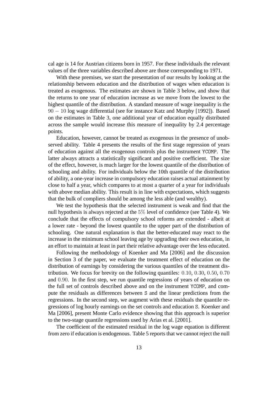cal age is 14 for Austrian citizens born in 1957. For these individuals the relevant values of the three variables described above are those corresponding to 1971.

With these premises, we start the presentation of our results by looking at the relationship between education and the distribution of wages when education is treated as exogenous. The estimates are shown in Table 3 below, and show that the returns to one year of education increase as we move from the lowest to the highest quantile of the distribution. A standard measure of wage inequality is the 90 − 10 log wage differential (see for instance Katz and Murphy [1992]). Based on the estimates in Table 3, one additional year of education equally distributed across the sample would increase this measure of inequality by 2.4 percentage points.

Education, however, cannot be treated as exogenous in the presence of unobserved ability. Table 4 presents the results of the first stage regression of years of education against all the exogenous controls plus the instrument YCOMP. The latter always attracts a statistically significant and positive coefficient. The size of the effect, however, is much larger for the lowest quantile of the distribution of schooling and ability. For individuals below the 10th quantile of the distribution of ability, a one-year increase in compulsory education raises actual attainment by close to half a year, which compares to at most a quarter of a year for individuals with above median ability. This result is in line with expectations, which suggests that the bulk of compliers should be among the less able (and wealthy).

We test the hypothesis that the selected instrument is weak and find that the null hypothesis is always rejected at the 5% level of confidence (see Table 4). We conclude that the effects of compulsory school reforms are extended - albeit at a lower rate - beyond the lowest quantile to the upper part of the distribution of schooling. One natural explanation is that the better-educated may react to the increase in the minimum school leaving age by upgrading their own education, in an effort to maintain at least in part their relative advantage over the less educated.

Following the methodology of Koenker and Ma [2006] and the discussion in Section 3 of the paper, we evaluate the treatment effect of education on the distribution of earnings by considering the various quantiles of the treatment distribution. We focus for brevity on the following quantiles: 0.10, 0.30, 0.50, 0.70 and 0.90. In the first step, we run quantile regressions of years of education on the full set of controls described above and on the instrument YCOMP, and compute the residuals as differences between S and the linear predictions from the regressions. In the second step, we augment with these residuals the quantile regressions of log hourly earnings on the set controls and education S. Koenker and Ma [2006], present Monte Carlo evidence showing that this approach is superior to the two-stage quantile regressions used by Arias et al. [2001].

The coefficient of the estimated residual in the log wage equation is different from zero if education is endogenous. Table 5 reports that we cannot reject the null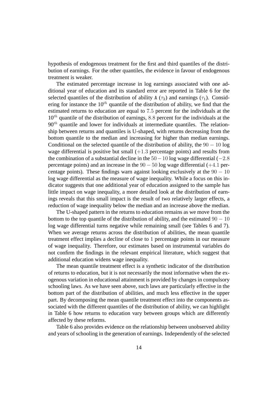hypothesis of endogenous treatment for the first and third quantiles of the distribution of earnings. For the other quantiles, the evidence in favour of endogenous treatment is weaker.

The estimated percentage increase in log earnings associated with one additional year of education and its standard error are reported in Table 6 for the selected quantiles of the distribution of ability A ( $\tau_2$ ) and earnings ( $\tau_1$ ). Considering for instance the  $10^{th}$  quantile of the distribution of ability, we find that the estimated returns to education are equal to 7.5 percent for the individuals at the  $10^{th}$  quantile of the distribution of earnings, 8.8 percent for the individuals at the  $90<sup>th</sup>$  quantile and lower for individuals at intermediate quantiles. The relationship between returns and quantiles is U-shaped, with returns decreasing from the bottom quantile to the median and increasing for higher than median earnings. Conditional on the selected quantile of the distribution of ability, the  $90 - 10 \log$ wage differential is positive but small  $(+1.3$  percentage points) and results from the combination of a substantial decline in the  $50-10$  log wage differential ( $-2.8$ ) percentage points) and an increase in the  $90 - 50$  log wage differential (+4.1 percentage points). These findings warn against looking exclusively at the  $90 - 10$ log wage differential as the measure of wage inequality. While a focus on this indicator suggests that one additional year of education assigned to the sample has little impact on wage inequality, a more detailed look at the distribution of earnings reveals that this small impact is the result of two relatively larger effects, a reduction of wage inequality below the median and an increase above the median.

The U-shaped pattern in the returns to education remains as we move from the bottom to the top quantile of the distribution of ability, and the estimated  $90 - 10$ log wage differential turns negative while remaining small (see Tables 6 and 7). When we average returns across the distribution of abilities, the mean quantile treatment effect implies a decline of close to 1 percentage points in our measure of wage inequality. Therefore, our estimates based on instrumental variables do not confirm the findings in the relevant empirical literature, which suggest that additional education widens wage inequality.

The mean quantile treatment effect is a synthetic indicator of the distribution of returns to education, but it is not necessarily the most informative when the exogenous variation in educational attainment is provided by changes in compulsory schooling laws. As we have seen above, such laws are particularly effective in the bottom part of the distribution of abilities, and much less effective in the upper part. By decomposing the mean quantile treatment effect into the components associated with the different quantiles of the distribution of ability, we can highlight in Table 6 how returns to education vary between groups which are differently affected by these reforms.

Table 6 also provides evidence on the relationship between unobserved ability and years of schooling in the generation of earnings. Independently of the selected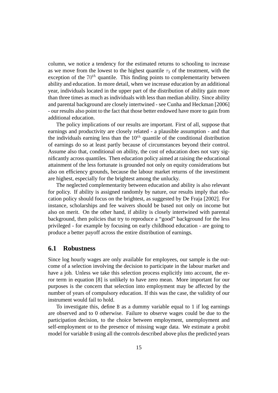column, we notice a tendency for the estimated returns to schooling to increase as we move from the lowest to the highest quantile  $\tau_2$  of the treatment, with the exception of the  $70^{th}$  quantile. This finding points to complementarity between ability and education. In more detail, when we increase education by an additional year, individuals located in the upper part of the distribution of ability gain more than three times as much as individuals with less than median ability. Since ability and parental background are closely intertwined - see Cunha and Heckman [2006] - our results also point to the fact that those better endowed have more to gain from additional education.

The policy implications of our results are important. First of all, suppose that earnings and productivity are closely related - a plausible assumption - and that the individuals earning less than the  $10^{th}$  quantile of the conditional distribution of earnings do so at least partly because of circumstances beyond their control. Assume also that, conditional on ability, the cost of education does not vary significantly across quantiles. Then education policy aimed at raising the educational attainment of the less fortunate is grounded not only on equity considerations but also on efficiency grounds, because the labour market returns of the investiment are highest, especially for the brightest among the unlucky.

The neglected complementarity between education and ability is also relevant for policy. If ability is assigned randomly by nature, our results imply that education policy should focus on the brightest, as suggested by De Fraja [2002]. For instance, scholarships and fee waivers should be based not only on income but also on merit. On the other hand, if ability is closely intertwined with parental background, then policies that try to reproduce a "good" background for the less privileged - for example by focusing on early childhood education - are going to produce a better payoff across the entire distribution of earnings.

#### **6.1 Robustness**

Since log hourly wages are only available for employees, our sample is the outcome of a selection involving the decision to participate in the labour market and have a job. Unless we take this selection process explicitly into account, the error term in equation [8] is unlikely to have zero mean. More important for our purposes is the concern that selection into employment may be affected by the number of years of compulsory education. If this was the case, the validity of our instrument would fail to hold.

To investigate this, define B as a dummy variable equal to 1 if log earnings are observed and to 0 otherwise. Failure to observe wages could be due to the participation decision, to the choice between employment, unemployment and self-employment or to the presence of missing wage data. We estimate a probit model for variable B using all the controls described above plus the predicted years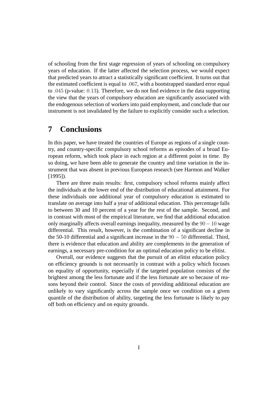of schooling from the first stage regression of years of schooling on compulsory years of education. If the latter affected the selection process, we would expect that predicted years to attract a statistically significant coefficient. It turns out that the estimated coefficient is equal to .067, with a bootstrapped standard error equal to .045 (p-value: 0.13). Therefore, we do not find evidence in the data supporting the view that the years of compulsory education are significantly associated with the endogenous selection of workers into paid employment, and conclude that our instrument is not invalidated by the failure to explicitly consider such a selection.

## **7 Conclusions**

In this paper, we have treated the countries of Europe as regions of a single country, and country-specific compulsory school reforms as episodes of a broad European reform, which took place in each region at a different point in time. By so doing, we have been able to generate the country and time variation in the instrument that was absent in previous European research (see Harmon and Walker [1995]).

There are three main results: first, compulsory school reforms mainly affect the individuals at the lower end of the distribution of educational attainment. For these individuals one additional year of compulsory education is estimated to translate on average into half a year of additional education. This percentage falls to between 30 and 10 percent of a year for the rest of the sample. Second, and in contrast with most of the empirical literature, we find that additional education only marginally affects overall earnings inequality, measured by the  $90-10$  wage differential. This result, however, is the combination of a significant decline in the 50-10 differential and a significant increase in the  $90 - 50$  differential. Third, there is evidence that education and ability are complements in the generation of earnings, a necessary pre-condition for an optimal education policy to be elitist.

Overall, our evidence suggests that the pursuit of an elitist education policy on efficiency grounds is not necessarily in contrast with a policy which focuses on equality of opportunity, especially if the targeted population consists of the brightest among the less fortunate and if the less fortunate are so because of reasons beyond their control. Since the costs of providing additional education are unlikely to vary significantly across the sample once we condition on a given quantile of the distribution of ability, targeting the less fortunate is likely to pay off both on efficiency and on equity grounds.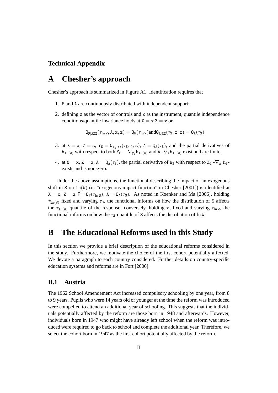#### **Technical Appendix**

# **A Chesher's approach**

Chesher's approach is summarized in Figure A1. Identification requires that

- 1. F and A are continuously distributed with independent support;
- 2. defining X as the vector of controls and Z as the instrument, quantile independence conditions/quantile invariance holds at  $X = x Z = z$  or

 $\mathsf{Q}_{\mathrm{F|AXZ}}(\tau_{\ln \mathsf{W}}, \mathsf{A}, \mathsf{x}, \mathsf{z}) = \mathsf{Q}_{\mathrm{F}}(\tau_{\ln \mathsf{W}})$ and $\mathsf{Q}_{\mathsf{A|XZ}}(\tau_{\mathrm{S}}, \mathsf{x}, \mathsf{z}) = \mathsf{Q}_{\mathsf{A}}(\tau_{\mathrm{S}});$ 

- 3. at  $X = x$ ,  $Z = z$ ,  $Y_S = Q_{Y_S|XY}(\tau_S, x, z)$ ,  $A = Q_A(\tau_S)$ , and the partial derivatives of  $h_{1n(W)}$  with respect to both  $Y_S - \nabla_{y_S} h_{1n(W)}$  and  $A - \nabla_A h_{1n(W)}$  exist and are finite;
- 4. at  $X = x$ ,  $Z = z$ ,  $A = Q_A(\tau_s)$ , the partial derivative of h<sub>s</sub> with respect to  $Z_i \nabla_{z_i} h_s$ exists and is non-zero.

Under the above assumptions, the functional describing the impact of an exogenous shift in S on  $ln(W)$  (or "exogenous impact function" in Chesher [2001]) is identified at  $X = x$ ,  $Z = z$  F = Q<sub>F</sub>( $\tau_{\ln W}$ ), A = Q<sub>A</sub>( $\tau_{S}$ ). As noted in Koenker and Ma [2006], holding  $\tau_{\ln(W)}$  fixed and varying  $\tau_s$ , the functional informs on how the distribution of S affects the  $\tau_{\text{ln}(W)}$  quantile of the response; conversely, holding  $\tau_s$  fixed and varying  $\tau_{\text{ln}W}$ , the functional informs on how the  $\tau_s$ -quantile of S affects the distribution of ln W.

### **B The Educational Reforms used in this Study**

In this section we provide a brief description of the educational reforms considered in the study. Furthermore, we motivate the choice of the first cohort potentially affected. We devote a paragraph to each country considered. Further details on country-specific education systems and reforms are in Fort [2006].

#### **B.1 Austria**

The 1962 School Amendement Act increased compulsory schooling by one year, from 8 to 9 years. Pupils who were 14 years old or younger at the time the reform was introduced were compelled to attend an additional year of schooling. This suggests that the individuals potentially affected by the reform are those born in 1948 and afterwards. However, individuals born in 1947 who might have already left school when the reform was introduced were required to go back to school and complete the additional year. Therefore, we select the cohort born in 1947 as the first cohort potentially affected by the reform.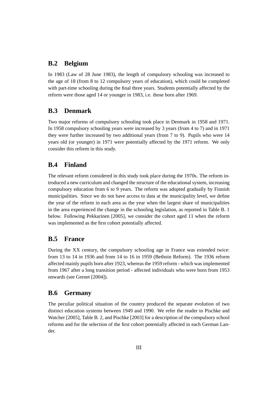#### **B.2 Belgium**

In 1983 (Law of 28 June 1983), the length of compulsory schooling was increased to the age of 18 (from 8 to 12 compulsory years of education), which could be completed with part-time schooling during the final three years. Students potentially affected by the reform were those aged 14 or younger in 1983, i.e. those born after 1969.

#### **B.3 Denmark**

Two major reforms of compulsory schooling took place in Denmark in 1958 and 1971. In 1958 compulsory schooling years were increased by 3 years (from 4 to 7) and in 1971 they were further increased by two additional years (from 7 to 9). Pupils who were 14 years old (or younger) in 1971 were potentially affected by the 1971 reform. We only consider this reform in this study.

#### **B.4 Finland**

The relevant reform considered in this study took place during the 1970s. The reform introduced a new curriculum and changed the structure of the educational system, increasing compulsory education from 6 to 9 years. The reform was adopted gradually by Finnish municipalities. Since we do not have access to data at the municipality level, we define the year of the reform in each area as the year when the largest share of municipalities in the area experienced the change in the schooling legislation, as reported in Table B. 1 below. Following Pekkarinen [2005], we consider the cohort aged 11 when the reform was implemented as the first cohort potentially affected.

#### **B.5 France**

During the XX century, the compulsory schooling age in France was extended twice: from 13 to 14 in 1936 and from 14 to 16 in 1959 (Bethoin Reform). The 1936 reform affected mainly pupils born after 1923, whereas the 1959 reform - which was implemented from 1967 after a long transition period - affected individuals who were born from 1953 onwards (see Grenet [2004]).

#### **B.6 Germany**

The peculiar political situation of the country produced the separate evolution of two distinct education systems between 1949 and 1990. We refer the reader to Pischke and Watcher [2005], Table B. 2, and Pischke [2003] for a description of the compulsory school reforms and for the selection of the first cohort potentially affected in each German Lander.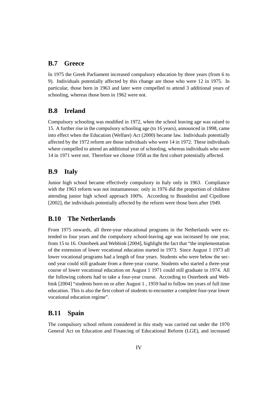#### **B.7 Greece**

In 1975 the Greek Parliament increased compulsory education by three years (from 6 to 9). Individuals potentially affected by this change are those who were 12 in 1975. In particular, those born in 1963 and later were compelled to attend 3 additional years of schooling, whereas those born in 1962 were not.

#### **B.8 Ireland**

Compulsory schooling was modified in 1972, when the school leaving age was raised to 15. A further rise in the compulsory schooling age (to 16 years), announced in 1998, came into effect when the Education (Welfare) Act (2000) became law. Individuals potentially affected by the 1972 reform are those individuals who were 14 in 1972. These individuals where compelled to attend an additional year of schooling, whereas individuals who were 14 in 1971 were not. Therefore we choose 1958 as the first cohort potentially affected.

#### **B.9 Italy**

Junior high school became effectively compulsory in Italy only in 1963. Compliance with the 1963 reform was not instantaneous: only in 1976 did the proportion of children attending junior high school approach 100%. According to Brandolini and Cipollone [2002], the individuals potentially affected by the reform were those born after 1949.

#### **B.10 The Netherlands**

From 1975 onwards, all three-year educational programs in the Netherlands were extended to four years and the compulsory school-leaving age was increased by one year, from 15 to 16. Osterbeek and Webbink [2004], highlight the fact that "the implementation of the extension of lower vocational education started in 1973. Since August 1 1973 all lower vocational programs had a length of four years. Students who were below the second year could still graduate from a three-year course. Students who started a three-year course of lower vocational education on August 1 1971 could still graduate in 1974. All the following cohorts had to take a four-year course. According to Osterbeek and Webbink [2004] "students born on or after August 1 , 1959 had to follow ten years of full time education. This is also the first cohort of students to encounter a complete four-year lower vocational education regime".

#### **B.11 Spain**

The compulsory school reform considered in this study was carried out under the 1970 General Act on Education and Financing of Educational Reform (LGE), and increased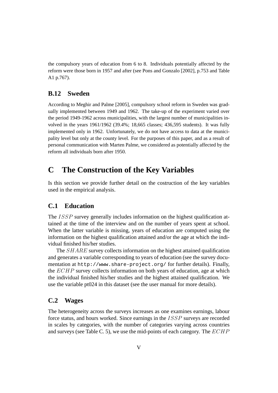the compulsory years of education from 6 to 8. Individuals potentially affected by the reform were those born in 1957 and after (see Pons and Gonzalo [2002], p.753 and Table A1 p.767).

#### **B.12 Sweden**

According to Meghir and Palme [2005], compulsory school reform in Sweden was gradually implemented between 1949 and 1962. The take-up of the experiment varied over the period 1949-1962 across municipalities, with the largest number of municipalities involved in the years 1961/1962 (39.4%; 18,665 classes; 436,595 students). It was fully implemented only in 1962. Unfortunately, we do not have access to data at the municipality level but only at the county level. For the purposes of this paper, and as a result of personal communication with Marten Palme, we considered as potentially affected by the reform all individuals born after 1950.

## **C The Construction of the Key Variables**

Is this section we provide further detail on the costruction of the key variables used in the empirical analysis.

#### **C.1 Education**

The *ISSP* survey generally includes information on the highest qualification attained at the time of the interview and on the number of years spent at school. When the latter variable is missing, years of education are computed using the information on the highest qualification attained and/or the age at which the individual finished his/her studies.

The SHARE survey collects information on the highest attained qualification and generates a variable corresponding to years of education (see the survey documentation at http://www.share-project.org/ for further details). Finally, the  $ECHP$  survey collects information on both years of education, age at which the individual finished his/her studies and the highest attained qualification. We use the variable pt024 in this dataset (see the user manual for more details).

#### **C.2 Wages**

The heterogeneity across the surveys increases as one examines earnings, labour force status, and hours worked. Since earnings in the ISSP surveys are recorded in scales by categories, with the number of categories varying across countries and surveys (see Table C. 5), we use the mid-points of each category. The  $ECHP$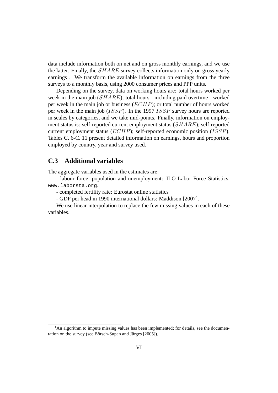data include information both on net and on gross monthly earnings, and we use the latter. Finally, the SHARE survey collects information only on gross yearly earnings<sup>1</sup>. We transform the available information on earnings from the three surveys to a monthly basis, using 2000 consumer prices and PPP units.

Depending on the survey, data on working hours are: total hours worked per week in the main job (SHARE); total hours - including paid overtime - worked per week in the main job or business (ECHP); or total number of hours worked per week in the main job (ISSP). In the 1997 ISSP survey hours are reported in scales by categories, and we take mid-points. Finally, information on employment status is: self-reported current employment status (SHARE); self-reported current employment status (ECHP); self-reported economic position (ISSP). Tables C. 6-C. 11 present detailed information on earnings, hours and proportion employed by country, year and survey used.

#### **C.3 Additional variables**

The aggregate variables used in the estimates are:

- labour force, population and unemployment: ILO Labor Force Statistics, www.laborsta.org.

- completed fertility rate: Eurostat online statistics

- GDP per head in 1990 international dollars: Maddison [2007].

We use linear interpolation to replace the few missing values in each of these variables.

 $<sup>1</sup>$ An algorithm to impute missing values has been implemented; for details, see the documen-</sup> tation on the survey (see Börsch-Supan and Jürges  $[2005]$ ).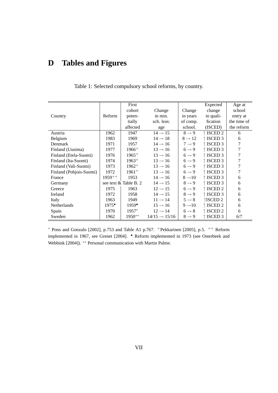# **D Tables and Figures**

|                         |                | First                 |                           |                    | Expected           | Age at      |
|-------------------------|----------------|-----------------------|---------------------------|--------------------|--------------------|-------------|
|                         |                | cohort                | Change                    | Change             | change             | school      |
| Country                 | Reform         | poten-                | in min.                   | in years           | in quali-          | entry at    |
|                         |                | tially                | sch. leav.                | of comp.           | fication           | the time of |
|                         |                | affected              | age                       | school.            | (ISCED)            | the reform  |
| Austria                 | 1962           | 1947                  | $14 \rightarrow 15$       | $8 \rightarrow 9$  | ↑ ISCED 2          | 6           |
| Belgium                 | 1983           | 1969                  | $14 \rightarrow 18$       | $8 \rightarrow 12$ | ↑ ISCED 3          | 6           |
| Denmark                 | 1971           | 1957                  | $14 \rightarrow 16$       | $7 \rightarrow 9$  | ↑ ISCED 3          | 7           |
| Finland (Uusima)        | 1977           | $1966+$               | $13 \rightarrow 16$       | $6 \rightarrow 9$  | $\uparrow$ ISCED 3 | 7           |
| Finland (Etela-Suomi)   | 1976           | $1965+$               | $13 \rightarrow 16$       | $6 \rightarrow 9$  | ↑ ISCED 3          | 7           |
| Finland (Ita-Suomi)     | 1974           | $1963+$               | $13 \rightarrow 16$       | $6 \rightarrow 9$  | ↑ ISCED 3          | 7           |
| Finland (Vali-Suomi)    | 1973           | $1962^+$              | $13 \rightarrow 16$       | $6 \rightarrow 9$  | ↑ ISCED 3          | 7           |
| Finland (Pohjois-Suomi) | 1972           | $1961+$               | $13 \rightarrow 16$       | $6 \rightarrow 9$  | ↑ ISCED 3          | 7           |
| France                  | $1959^{++}$    | 1953                  | $14 \rightarrow 16$       | $8 \rightarrow 10$ | $\uparrow$ ISCED 3 | 6           |
| Germany                 |                | see text & Table B. 2 | $14 \rightarrow 15$       | $8 \rightarrow 9$  | ↑ ISCED 3          | 6           |
| Greece                  | 1975           | 1963                  | $12 \rightarrow 15$       | $6 \rightarrow 9$  | $\uparrow$ ISCED 2 | 6           |
| Ireland                 | 1972           | 1958                  | $14 \rightarrow 15$       | $8 \rightarrow 9$  | ↑ ISCED 3          | 6           |
| Italy                   | 1963           | 1949                  | $11 \rightarrow 14$       | $5 \rightarrow 8$  | ↑ISCED 2           | 6           |
| Netherlands             | $1975^{\circ}$ | $1959^{\circ}$        | $15 \rightarrow 16$       | $9 \rightarrow 10$ | ↑ ISCED 2          | 6           |
| Spain                   | 1970           | $1957*$               | $12 \rightarrow 14$       | $6 \rightarrow 8$  | $\uparrow$ ISCED 2 | 6           |
| Sweden                  | 1962           | $1950**$              | $14/15 \rightarrow 15/16$ | $8 \rightarrow 9$  | ↑ ISCED 3          | 6/7         |

Table 1: Selected compulsory school reforms, by country.

 $*$  Pons and Gonzalo [2002], p.753 and Table A1 p.767.  $+$ Pekkarinen [2005], p.5.  $+$  Reform implemented in 1967, see Grenet [2004]. • Reform implemented in 1973 (see Osterbeek and Webbink [2004]). ∗∗ Personal communication with Martin Palme.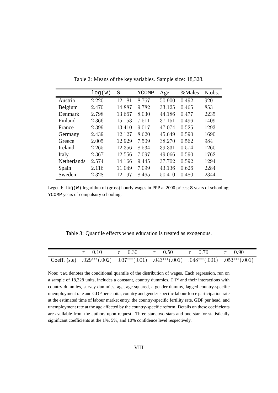|                    | log(W) | S      | YCOMP | Age    | %Males | N.obs. |
|--------------------|--------|--------|-------|--------|--------|--------|
| Austria            | 2.220  | 12.181 | 8.767 | 50.900 | 0.492  | 920    |
| Belgium            | 2.470  | 14.887 | 9.782 | 33.125 | 0.465  | 853    |
| Denmark            | 2.798  | 13.667 | 8.030 | 44.186 | 0.477  | 2235   |
| Finland            | 2.366  | 15.153 | 7.511 | 37.151 | 0.496  | 1409   |
| France             | 2.399  | 13.410 | 9.017 | 47.074 | 0.525  | 1293   |
| Germany            | 2.439  | 12.127 | 8.620 | 45.649 | 0.590  | 1690   |
| Greece             | 2.005  | 12.929 | 7.509 | 38.270 | 0.562  | 984    |
| Ireland            | 2.265  | 12.356 | 8.534 | 39.331 | 0.574  | 1260   |
| Italy              | 2.367  | 12.556 | 7.097 | 49.066 | 0.590  | 1762   |
| <b>Netherlands</b> | 2.574  | 14.166 | 9.445 | 37.702 | 0.592  | 1294   |
| Spain              | 2.116  | 11.049 | 7.099 | 43.136 | 0.626  | 2284   |
| Sweden             | 2.328  | 12.197 | 8.465 | 50.410 | 0.480  | 2344   |

Table 2: Means of the key variables. Sample size: 18,328.

Legend:  $log(W)$  logarithm of (gross) hourly wages in PPP at 2000 prices; S years of schooling; YCOMP years of compulsory schooling.

Table 3: Quantile effects when education is treated as exogenous.

|  |  | $\tau = 0.10$ $\tau = 0.30$ $\tau = 0.50$ $\tau = 0.70$ $\tau = 0.90$                        |  |
|--|--|----------------------------------------------------------------------------------------------|--|
|  |  | Coeff. (s.e) $.029***(.002)$ $.037***(.001)$ $.043***(.001)$ $.048***(.001)$ $.053***(.001)$ |  |

Note: tau denotes the conditional quantile of the distribution of wages. Each regression, run on a sample of 18,328 units, includes a constant, country dummies,  $T T<sup>2</sup>$  and their interactions with country dummies, survey dummies, age, age squared, a gender dummy, lagged country-specific unemployment rate and GDP per capita, country and gender-specific labour force participation rate at the estimated time of labour market entry, the country-specific fertility rate, GDP per head, and unemployment rate at the age affected by the country-specific reform. Details on these coefficients are available from the authors upon request. Three stars,two stars and one star for statistically significant coefficients at the 1%, 5%, and 10% confidence level respectively.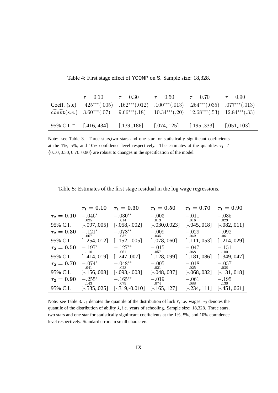| $\tau = 0.10$ $\tau = 0.30$                                                                  |  | $\tau = 0.50$ $\tau = 0.70$ $\tau = 0.90$ |  |
|----------------------------------------------------------------------------------------------|--|-------------------------------------------|--|
| Coeff. (s.e) $.425***(.005)$ $.162***(.012)$ $.100***(.013)$ $.264***(.035)$ $.077***(.013)$ |  |                                           |  |
| const(s.e.) 3.60***(.07) 9.66***(.18) 10.34***(.20) 12.68***(.53) 12.84***(.33)              |  |                                           |  |
|                                                                                              |  |                                           |  |
| 95% C.I. $^+$ [.416, 434] [.139, 186] [.074, 125] [.195, 333] [.051, 103]                    |  |                                           |  |

Table 4: First stage effect of YCOMP on S. Sample size: 18,328.

Note: see Table 3. Three stars,two stars and one star for statistically significant coefficients at the 1%, 5%, and 10% confidence level respectively. The estimates at the quantiles  $\tau_1 \in$  ${0.10, 0.30, 0.70, 0.90}$  are robust to changes in the specification of the model.

|               | $\tau_1 = 0.10$  | $\tau_1 = 0.30$    | $\tau_1 = 0.50$  | $\tau_{1} = 0.70$ | $\tau_{1} = 0.90$ |
|---------------|------------------|--------------------|------------------|-------------------|-------------------|
| $\tau_2=0.10$ | $-.046*$<br>.025 | $-.030**$<br>.014  | $-.003$<br>.013  | $-.011$<br>.016   | $-.035$<br>.023   |
| 95% C.I.      | $[-.097, .005]$  | $[-.058,-.002]$    | $[-.030, 0.023]$ | $[-.045, .018]$   | $[-.082, .011]$   |
| $\tau_2=0.30$ | $-121*$<br>.067  | $-.078**$<br>.037  | $-.009$<br>.035  | $-.029$<br>.042   | $-.092$<br>.061   |
| 95% C.I.      | $[-.254, 012]$   | $[-.152,-.005]$    | $[-.078, .060]$  | $[-.111, .053]$   | $[-.214, .029]$   |
| $\tau_2=0.50$ | $-.197*$<br>.110 | $-.127**$<br>.061  | $-.015$<br>.057  | $-.047$<br>.068   | $-.151$<br>.100   |
| 95% C.I.      | $[-.414, 019]$   | $[-.247, .007]$    | $[-.128, .099]$  | $[-.181, .086]$   | $[-.349, .047]$   |
| $\tau_2=0.70$ | $-.074*$<br>.041 | $-.048**$<br>.023  | $-.005$<br>.021  | $-.018$<br>.025   | $-.057$<br>.038   |
| 95% C.I.      | $[-.156,008]$    | $[-.093,-.003]$    | $[-.048, .037]$  | $[-.068, .032]$   | $[-.131, .018]$   |
| $\tau_2=0.90$ | $-.255*$<br>.143 | $-.165***$<br>.079 | $-.019$<br>.074  | $-.061$<br>.088   | $-.195$<br>.130   |
| 95% C.I.      | $[-.535, .025]$  | $[-.319,-0.010]$   | $[-.165, .127]$  | $[-.234, 0.111]$  | $[-.451, .061]$   |

Table 5: Estimates of the first stage residual in the log wage regressions.

Note: see Table 3.  $\tau_1$  denotes the quantile of the distribution of luck F, i.e. wages.  $\tau_2$  denotes the quantile of the distribution of ability A, i.e. years of schooling. Sample size: 18,328. Three stars, two stars and one star for statistically significant coefficients at the 1%, 5%, and 10% confidence level respectively. Standard errors in small characters.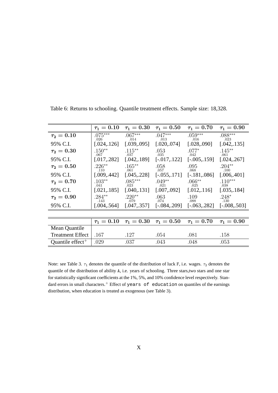|                              | $\tau_1=0.10$     | $\tau_1=0.30$     | $\tau_1 = 0.50$   | $\tau_1=0.70$     | $\tau_{1} = 0.90$ |
|------------------------------|-------------------|-------------------|-------------------|-------------------|-------------------|
| $\tau_2=0.10$                | $.075***$<br>.026 | $.067***$<br>.014 | $.047***$<br>.013 | $.059***$<br>.016 | $.088***$<br>.023 |
| 95% C.I.                     | [.024, 126]       | [.039, .095]      | [.020, .074]      | [.028, .090]      | [.042, .135]      |
| $\tau_2=0.30$                | $.150**$<br>.067  | $.115***$<br>.037 | .053<br>.035      | $.077*$<br>.042   | $.145**$<br>.061  |
| 95% C.I.                     | [.017, .282]      | [.042, .189]      | $[-.017, .122]$   | $[-.005, .159]$   | [.024, .267]      |
| $\tau_2=0.50$                | $.226**$<br>.110  | $.165***$<br>.061 | .058<br>.057      | .095<br>.068      | $.204**$<br>.100  |
| 95% C.I.                     | [.009, .442]      | [.045, .228]      | $[-.055, .171]$   | $[-.181, .086]$   | [.006, .401]      |
| $\tau_2=0.70$                | $.103**$<br>.041  | $.085***$<br>.023 | $.049**$<br>.021  | $.066**$<br>.025  | $.110***$<br>.038 |
| 95% C.I.                     | [.021, 185]       | [.040, .131]      | [.007, .092]      | [.012, .116]      | [.035, .184]      |
| $\tau_2=0.90$                | $.284***$<br>.143 | $.220**$<br>.079  | .063<br>.074      | .109<br>.088      | $.248*$<br>.130   |
| 95% C.I.                     | [.004, .564]      | [.047, .357]      | $[-.084, .209]$   | $[-.063, .282]$   | $[-.008, .503]$   |
|                              |                   |                   |                   |                   |                   |
|                              | $\tau_1 = 0.10$   | $\tau_1=0.30$     | $\tau_1=0.50$     | $\tau_1=0.70$     | $\tau_1 = 0.90$   |
| Mean Quantile                |                   |                   |                   |                   |                   |
| <b>Treatment Effect</b>      | .167              | .127              | .054              | .081              | .158              |
| Quantile effect <sup>+</sup> | .029              | .037              | .043              | .048              | .053              |

Table 6: Returns to schooling. Quantile treatment effects. Sample size: 18,328.

Note: see Table 3.  $\tau_1$  denotes the quantile of the distribution of luck F, i.e. wages.  $\tau_2$  denotes the quantile of the distribution of ability A, i.e. years of schooling. Three stars,two stars and one star for statistically significant coefficients at the 1%, 5%, and 10% confidence level respectively. Standard errors in small characters.<sup>+</sup> Effect of years of education on quantiles of the earnings distribution, when education is treated as exogenous (see Table 3).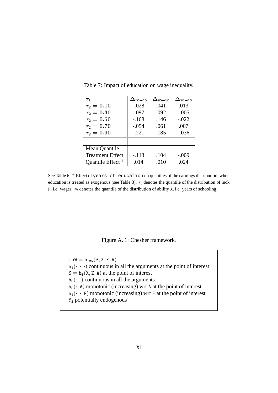| $\tau_1$                     | $\Delta_{50-10}$ | $\Delta_{\scriptscriptstyle 90-50}$ | $\Delta$ 90—10 |
|------------------------------|------------------|-------------------------------------|----------------|
| $\tau_2=0.10$                | $-.028$          | .041                                | .013           |
| $\tau_2 = 0.30$              | $-.097$          | .092                                | $-.005$        |
| $\tau_2=0.50$                | $-.168$          | .146                                | $-.022$        |
| $\tau_2=0.70$                | $-.054$          | .061                                | .007           |
| $\tau_2 = 0.90$              | $-.221$          | .185                                | $-.036$        |
|                              |                  |                                     |                |
| Mean Quantile                |                  |                                     |                |
| <b>Treatment Effect</b>      | $-.113$          | .104                                | $-.009$        |
| Quantile Effect <sup>+</sup> | .014             | .010                                | .024           |

Table 7: Impact of education on wage inequality.

See Table 6.  $+$  Effect of years of education on quantiles of the earnings distribution, when education is treated as exogenous (see Table 3).  $\tau_1$  denotes the quantile of the distribution of luck F, i.e. wages.  $\tau_2$  denotes the quantile of the distribution of ability A, i.e. years of schooling.

Figure A. 1: Chesher framework.

 $lnW = h_{lnW}(S, X, F, A)$  $h_1(\cdot, \cdot, \cdot)$  continuous in all the arguments at the point of interest  $S = h_S(X, Z, A)$  at the point of interest  $h_S(\cdot, \cdot)$  continuous in all the arguments  $h_S(\cdot, A)$  monotonic (increasing) wrt A at the point of interest  $h_1(\cdot, \cdot, F)$  monotonic (increasing) wrt F at the point of interest Y<sub>s</sub> potentially endogenous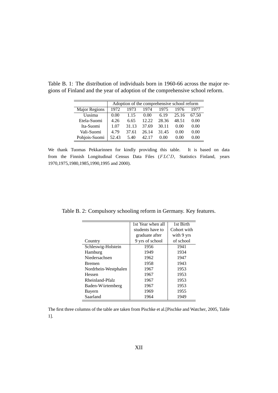|                      |       | Adoption of the comprehensive school reform |       |       |       |       |
|----------------------|-------|---------------------------------------------|-------|-------|-------|-------|
| <b>Major Regions</b> | 1972  | 1973                                        | 1974  | 1975  | 1976  | 1977  |
| Uusima               | 0.00  | 1.15                                        | 0.00  | 6.19  | 25.16 | 67.50 |
| Etela-Suomi          | 4.26  | 6.65                                        | 12.22 | 28.36 | 48.51 | 0.00  |
| Ita-Suomi            | 1.07  | 31.13                                       | 37.69 | 30.11 | 0.00  | 0.00  |
| Vali-Suomi           | 4.79  | 37.61                                       | 26.14 | 31.45 | 0.00  | 0.00  |
| Pohjois-Suomi        | 52.43 | 5.40                                        | 42.17 | 0.00  | 0.00  | 0.00  |

Table B. 1: The distribution of individuals born in 1960-66 across the major regions of Finland and the year of adoption of the comprehensive school reform.

We thank Tuomas Pekkarinnen for kindly providing this table. It is based on data from the Finnish Longitudinal Census Data Files (FLCD, Statistics Finland, years 1970,1975,1980,1985,1990,1995 and 2000).

|  | Table B. 2: Compulsory schooling reform in Germany. Key features. |  |  |  |  |  |
|--|-------------------------------------------------------------------|--|--|--|--|--|
|--|-------------------------------------------------------------------|--|--|--|--|--|

|                      | 1st Year when all | 1st Birth   |
|----------------------|-------------------|-------------|
|                      | students have to  | Cohort with |
|                      | graduate after    | with 9 yrs  |
| Country              | 9 yrs of school   | of school   |
| Schleswig-Holstein   | 1956              | 1941        |
| Hamburg              | 1949              | 1934        |
| Niedersachsen        | 1962              | 1947        |
| <b>Bremen</b>        | 1958              | 1943        |
| Nordrhein-Westphalen | 1967              | 1953        |
| Hessen               | 1967              | 1953        |
| Rheinland-Pfalz      | 1967              | 1953        |
| Baden-Würtemberg     | 1967              | 1953        |
| Bayern               | 1969              | 1955        |
| Saarland             | 1964              | 1949        |

The first three columns of the table are taken from Pischke et al.[Pischke and Watcher, 2005, Table 1].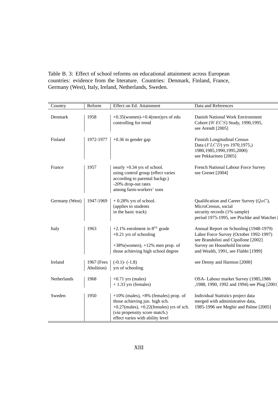Table B. 3: Effect of school reforms on educational attainment across European countries: evidence from the literature. Countries: Denmark, Finland, France, Germany (West), Italy, Ireland, Netherlands, Sweden.

| Country        | Reform                   | Effect on Ed. Attainment                                                                                                                                                                            | Data and References                                                                                                                                                                          |
|----------------|--------------------------|-----------------------------------------------------------------------------------------------------------------------------------------------------------------------------------------------------|----------------------------------------------------------------------------------------------------------------------------------------------------------------------------------------------|
| Denmark        | 1958                     | $+0.35$ (women) $+0.4$ (men)yrs of edu<br>controlling for trend                                                                                                                                     | Danish National Work Environment<br>Cohort (WECS) Study, 1990, 1995,<br>see Arendt [2005]                                                                                                    |
| Finland        | 1972-1977                | $+0.36$ in gender gap                                                                                                                                                                               | Finnish Longitudinal Census<br>Data (FLCD) yrs 1970,1975,)<br>1980, 1985, 1990, 1995, 2000)<br>see Pekkarinen [2005]                                                                         |
| France         | 1957                     | nearly $+0.34$ yrs of school.<br>using control group (effect varies<br>according to parental backgr.)<br>-20% drop-out rates<br>among farm-workers' sons                                            | French National Labour Force Survey<br>see Grenet [2004]                                                                                                                                     |
| Germany (West) | 1947-1969                | $+0.28\%$ yrs of school.<br>(applies to students<br>in the basic track)                                                                                                                             | Qualification and Career Survey $(QaC)$ ,<br>MicroCensus, social<br>security records (1% sample)<br>period 1975-1995, see Pischke and Watcher                                                |
| Italy          | 1963                     | +2.1% enrolment in $8^{th}$ grade<br>$+0.21$ yrs of schooling<br>$+38\%$ (women), $+12\%$ men prop. of<br>those achieving high school degree                                                        | Annual Report on Schooling (1948-1979)<br>Labor Force Survey (October 1992-1997)<br>see Brandolini and Cipollone [2002]<br>Survey on Household Income<br>and Wealth, 1991, see Flabbi [1999] |
| Ireland        | 1967 (Fees<br>Abolition) | $(-0.1)$ - $(-1.8)$<br>yrs of schooling                                                                                                                                                             | see Denny and Harmon [2000]                                                                                                                                                                  |
| Netherlands    | 1968                     | $+0.71$ yrs (males)<br>$+1.33$ yrs (females)                                                                                                                                                        | OSA-Labour market Survey (1985,1986<br>,1988, 1990, 1992 and 1994) see Plug [2001]                                                                                                           |
| Sweden         | 1950                     | $+10\%$ (males), $+8\%$ (females) prop. of<br>those achieving jun. high sch.<br>$+0.27$ (males), $+0.22$ (females) yrs of sch.<br>(via propensity score match.)<br>effect varies with ability level | Individual Statistics project data<br>merged with administrative data,<br>1985-1996 see Meghir and Palme [2005]                                                                              |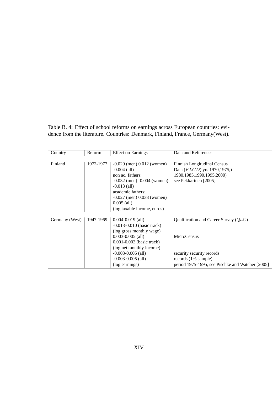Table B. 4: Effect of school reforms on earnings across European countries: evidence from the literature. Countries: Denmark, Finland, France, Germany(West).

| Country        | Reform    | <b>Effect on Earnings</b>       | Data and References                              |
|----------------|-----------|---------------------------------|--------------------------------------------------|
|                |           |                                 |                                                  |
| Finland        | 1972-1977 | $-0.029$ (men) $0.012$ (women)  | Finnish Longitudinal Census                      |
|                |           | $-0.004$ (all)                  | Data (FLCD) yrs 1970,1975,)                      |
|                |           | non ac. fathers:                | 1980, 1985, 1990, 1995, 2000)                    |
|                |           | $-0.032$ (men) $-0.004$ (women) | see Pekkarinen [2005]                            |
|                |           | $-0.013$ (all)                  |                                                  |
|                |           | academic fathers:               |                                                  |
|                |           | $-0.027$ (men) $0.038$ (women)  |                                                  |
|                |           | $0.005$ (all)                   |                                                  |
|                |           | (log taxable income, euros)     |                                                  |
|                |           |                                 |                                                  |
| Germany (West) | 1947-1969 | $0.004 - 0.019$ (all)           | Qualification and Career Survey $(QaC)$          |
|                |           | $-0.013 - 0.010$ (basic track)  |                                                  |
|                |           | (log gross monthly wage)        |                                                  |
|                |           | $0.003 - 0.005$ (all)           | <b>MicroCensus</b>                               |
|                |           | $0.001 - 0.002$ (basic track)   |                                                  |
|                |           | (log net monthly income)        |                                                  |
|                |           | $-0.003 - 0.005$ (all)          | security security records                        |
|                |           | $-0.003 - 0.005$ (all)          | records $(1\% \text{ sample})$                   |
|                |           | (log earnings)                  | period 1975-1995, see Pischke and Watcher [2005] |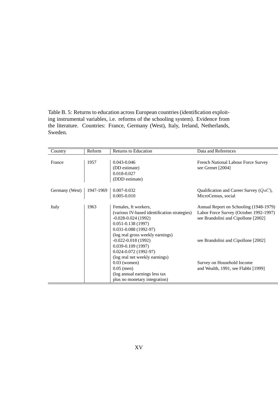Table B. 5: Returns to education across European countries (identification exploiting instrumental variables, i.e. reforms of the schooling system). Evidence from the literature. Countries: France, Germany (West), Italy, Ireland, Netherlands, Sweden.

| Country        | Reform    | Returns to Education                                                                                                                                                                                                                                                                                        | Data and References                                                                                                                                            |
|----------------|-----------|-------------------------------------------------------------------------------------------------------------------------------------------------------------------------------------------------------------------------------------------------------------------------------------------------------------|----------------------------------------------------------------------------------------------------------------------------------------------------------------|
| France         | 1957      | 0.043-0.046<br>(DD estimate)<br>0.018-0.027<br>(DDD estimate)                                                                                                                                                                                                                                               | <b>French National Labour Force Survey</b><br>see Grenet [2004]                                                                                                |
| Germany (West) | 1947-1969 | $0.007 - 0.032$<br>$0.005 - 0.010$                                                                                                                                                                                                                                                                          | Qualification and Career Survey $(QaC)$ ,<br>MicroCensus, social                                                                                               |
| Italy          | 1963      | Females, ft workers,<br>(various IV-based identification strategies)<br>$-0.028 - 0.024$ (1992)<br>$0.051 - 0.138(1997)$<br>$0.031 - 0.088$ (1992-97)<br>(log real gross weekly earnings)<br>$-0.022 - 0.018(1992)$<br>$0.039 - 0.109(1997)$<br>$0.024 - 0.072$ (1992-97)<br>(log real net weekly earnings) | Annual Report on Schooling (1948-1979)<br>Labor Force Survey (October 1992-1997)<br>see Brandolini and Cipollone [2002]<br>see Brandolini and Cipollone [2002] |
|                |           | $0.03$ (women)<br>$0.05$ (men)<br>(log annual earnings less tax<br>plus no monetary integration)                                                                                                                                                                                                            | Survey on Household Income<br>and Wealth, 1991, see Flabbi [1999]                                                                                              |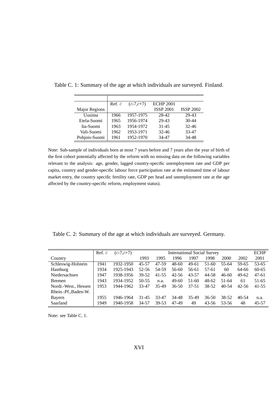|                      | Ref. $\bar{c}$ | $(\bar{c}$ -7, $\bar{c}$ +7) | <b>ECHP 2001</b> |                  |
|----------------------|----------------|------------------------------|------------------|------------------|
| <b>Major Regions</b> |                |                              | <b>ISSP 2001</b> | <b>ISSP 2002</b> |
| Uusima               | 1966           | 1957-1975                    | 28-42            | 29-43            |
| Etela-Suomi          | 1965           | 1956-1974                    | 29-43            | $30 - 44$        |
| Ita-Suomi            | 1963           | 1954-1972                    | 31-45            | $32 - 46$        |
| Vali-Suomi           | 1962           | 1953-1971                    | $32 - 46$        | 33-47            |
| Pohjois-Suomi        | 1961           | 1952-1970                    | 34-47            | 34-48            |

Table C. 1: Summary of the age at which individuals are surveyed. Finland.

Note: Sub-sample of individuals born at most 7 years before and 7 years after the year of birth of the first cohort potentially affected by the reform with no missing data on the following variables relevant to the analysis: age, gender, lagged country-specific unemployment rate and GDP per capita, country and gender-specific labour force participation rate at the estimated time of labour market entry, the country specific fertility rate, GDP per head and unemployment rate at the age affected by the country-specific reform, employment status).

Table C. 2: Summary of the age at which individuals are surveyed. Germany.

|                      | Ref. $\bar{c}$ | $(\bar{c}$ -7, $\bar{c}$ +7) |           | <b>International Social Survey</b> |           |           |         |           |           | <b>ECHP</b> |
|----------------------|----------------|------------------------------|-----------|------------------------------------|-----------|-----------|---------|-----------|-----------|-------------|
| Country              |                |                              | 1993      | 1995                               | 1996      | 1997      | 1998    | 2000      | 2002      | 2001        |
| Schleswig-Holstein   | 1941           | 1932-1950                    | $45 - 57$ | 47-59                              | $48 - 60$ | $49-61$   | 51-60   | 55-64     | 59-65     | 53-65       |
| Hamburg              | 1934           | 1925-1943                    | $52 - 56$ | 54-59                              | 56-60     | 56-61     | 57-61   | 60        | 64-66     | $60 - 65$   |
| Niedersachsen        | 1947           | 1938-1956                    | 39-52     | $41 - 55$                          | $42 - 56$ | 43-57     | 44-58   | $46 - 60$ | $49-62$   | $47 - 61$   |
| <b>B</b> remen       | 1943           | 1934-1952                    | $50 - 55$ | n.a.                               | 49-60     | $51-60$   | 48-62   | 51-64     | 61        | 51-65       |
| Nordr.-West., Hessen | 1953           | 1944-1962                    | 33-47     | 35-49                              | $36 - 50$ | $37 - 51$ | 38-52   | $40 - 54$ | 42-56     | $41 - 55$   |
| Rhein.-Pf., Baden-W. |                |                              |           |                                    |           |           |         |           |           |             |
| Bayern               | 1955           | 1946-1964                    | $31 - 45$ | 33-47                              | 34-48     | 35-49     | $36-50$ | 38-52     | $40 - 54$ | n.a.        |
| Saarland             | 1949           | 1940-1958                    | 34-57     | 39-53                              | 47-49     | 49        | 43-56   | 53-56     | 48        | 45-57       |

Note: see Table C. 1.

 $=$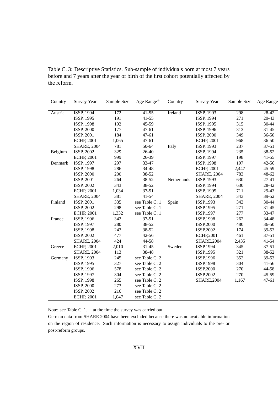Country Survey Year Sample Size Age Range<sup>+</sup> Country Survey Year Sample Size Age Range<sup>+</sup> Austria ISSP, 1994 172 41-55 Ireland ISSP, 1993 298 28-42 ISSP, 1995 191 41-55 ISSP, 1994 271 29-43 ISSP, 1998 192 45-59 ISSP, 1995 315 30-44 ISSP, 2000 177 47-61 ISSP, 1996 313 31-45<br>ISSP, 2001 184 47-61 ISSP, 2000 349 36-50 ISSP, 2001 184 47-61 ISSP, 2000 349 36-50 ECHP, 2001 1,065 47-61 CECHP, 2001 968 36-50 SHARE, 2004 781 50-64 || Italy ISSP, 1993 237 37-51 Belgium ISSP, 2002 329 26-40 ISSP, 1994 235 38-52 ECHP, 2001 999 26-39 ISSP, 1997 198 41-55 Denmark ISSP, 1997 297 33-47 ISSP, 1998 197 42-56 ISSP, 1998 286 34-48 ECHP, 2001 2,447 45-59 ISSP, 2000 200 38-52 SHARE, 2004 783 48-62 ISSP, 2001 264 38-52 Netherlands ISSP, 1993 630 27-41 ISSP, 2002 343 38-52 ISSP, 1994 630 28-42 ECHP, 2001 1,034 37-51 || ISSP, 1995 711 29-43 SHARE, 2004 381 41-54 And SHARE, 2004 343 39-52 Finland ISSP, 2001 335 see Table C. 1 || Spain ISSP, 1993 343 30-44 **ISSP, 2002** 298 see Table C. 1 || ISSP, 1995 271 31-45 ECHP, 2001 1,332 see Table C. 1 || ISSP,1997 277 33-47 France ISSP, 1996 342 37-51 || ISSP, 1998 262 34-48 ISSP, 1997 280 38-52 ISSP,2000 480 36-50 ISSP, 1998 243 38-52 ISSP,2002 174 39-53 ISSP, 2002 477 42-56 ECHP,2001 461 37-51 SHARE, 2004 424 44-58 **SHARE, 2004** 2,435 41-54 Greece ECHP, 2001 2,010 31-45 Sweden ISSP, 1994 345 37-51 SHARE, 2004 113 38-48 **ISSP, 1995** 321 38-52 Germany ISSP, 1993 245 see Table C. 2 See Table C. 2 SSP, 1996 352 39-53 ISSP, 1995 327 see Table C. 2 ISSP, 1998 304 41-56<br>ISSP, 1996 578 see Table C. 2 ISSP, 2000 270 44-58 578 see Table C. 2 || ISSP, 2000 270 44-58 **ISSP, 1997** 304 see Table C. 2 **ISSP, 2002** 270 45-59 ISSP, 1998 265 see Table C. 2 SHARE, 2004 1,167 47-61 ISSP, 2000 273 see Table C. 2 ISSP, 2002 216 see Table C. 2 ECHP, 2001 1,047 see Table C. 2

Table C. 3: Descriptive Statistics. Sub-sample of individuals born at most 7 years before and 7 years after the year of birth of the first cohort potentially affected by the reform.

Note: see Table C. 1.  $+$  at the time the survey was carried out.

German data from SHARE 2004 have been excluded because there was no available information on the region of residence. Such information is necessary to assign individuals to the pre- or post-reform groups.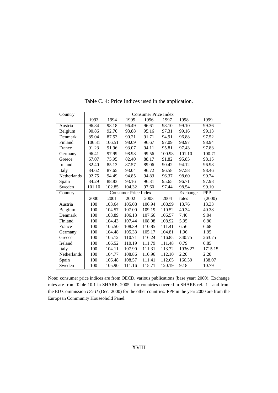| Country     | <b>Consumer Price Index</b> |        |                             |        |        |          |            |
|-------------|-----------------------------|--------|-----------------------------|--------|--------|----------|------------|
|             | 1993                        | 1994   | 1995                        | 1996   | 1997   | 1998     | 1999       |
| Austria     | 96.84                       | 98.18  | 96.49                       | 96.61  | 98.10  | 99.10    | 99.36      |
| Belgium     | 90.86                       | 92.70  | 93.88                       | 95.16  | 97.31  | 99.16    | 99.13      |
| Denmark     | 85.04                       | 87.53  | 90.21                       | 91.71  | 94.91  | 96.88    | 97.52      |
| Finland     | 106.31                      | 106.51 | 98.09                       | 96.67  | 97.09  | 98.97    | 98.94      |
| France      | 91.23                       | 91.96  | 93.07                       | 94.11  | 95.81  | 97.43    | 97.83      |
| Germany     | 96.41                       | 97.99  | 98.98                       | 99.56  | 100.98 | 101.10   | 100.71     |
| Greece      | 67.07                       | 75.95  | 82.40                       | 88.17  | 91.82  | 95.85    | 98.15      |
| Ireland     | 82.40                       | 85.13  | 87.57                       | 89.06  | 90.42  | 94.12    | 96.98      |
| Italy       | 84.62                       | 87.65  | 93.04                       | 96.72  | 96.58  | 97.58    | 98.46      |
| Netherlands | 92.75                       | 94.49  | 94.85                       | 94.83  | 96.37  | 98.60    | 99.74      |
| Spain       | 84.29                       | 88.83  | 93.16                       | 96.31  | 95.65  | 96.71    | 97.98      |
| Sweden      | 101.10                      | 102.85 | 104.32                      | 97.60  | 97.44  | 98.54    | 99.10      |
| Country     |                             |        | <b>Consumer Price Index</b> |        |        | Exchange | <b>PPP</b> |
|             | 2000                        | 2001   | 2002                        | 2003   | 2004   | rates    | (2000)     |
| Austria     | 100                         | 103.64 | 105.08                      | 106.94 | 108.99 | 13.76    | 13.33      |
| Belgium     | 100                         | 104.57 | 107.00                      | 109.19 | 110.52 | 40.34    | 40.38      |
| Denmark     | 100                         | 103.89 | 106.13                      | 107.66 | 106.57 | 7.46     | 9.04       |
| Finland     | 100                         | 104.43 | 107.44                      | 108.08 | 108.92 | 5.95     | 6.90       |
| France      | 100                         | 105.50 | 108.39                      | 110.85 | 111.41 | 6.56     | 6.68       |
| Germany     | 100                         | 104.48 | 105.33                      | 105.17 | 104.81 | 1.96     | 1.95       |
| Greece      | 100                         | 105.12 | 110.71                      | 116.24 | 116.85 | 340.75   | 263.75     |
| Ireland     | 100                         | 106.52 | 110.19                      | 111.79 | 111.48 | 0.79     | 0.85       |
| Italy       | 100                         | 104.11 | 107.90                      | 111.31 | 113.72 | 1936.27  | 1715.15    |
| Netherlands | 100                         | 104.77 | 108.86                      | 110.96 | 112.10 | 2.20     | 2.20       |
| Spain       | 100                         | 106.48 | 108.57                      | 111.41 | 112.65 | 166.39   | 138.07     |
| Sweden      | 100                         | 105.90 | 111.16                      | 115.71 | 120.19 | 9.18     | 10.79      |

Table C. 4: Price Indices used in the application.

Note: consumer price indices are from OECD, various publications (base year: 2000). Exchange rates are from Table 10.1 in SHARE, 2005 - for countries covered in SHARE rel. 1 - and from the EU Commission *DG II* (Dec. 2000) for the other countries. PPP in the year 2000 are from the European Community Houseohold Panel.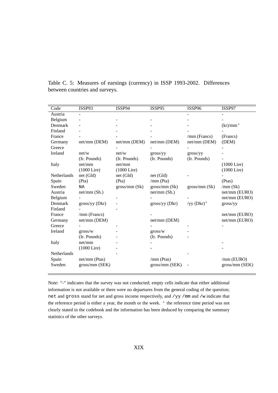| Code        | ISSP93         | ISSP94        | ISSP95         | ISSP96        | ISSP97         |
|-------------|----------------|---------------|----------------|---------------|----------------|
| Austria     |                |               |                |               |                |
| Belgium     |                |               |                |               |                |
| Denmark     |                |               |                |               | $(kr)/mm^+$    |
| Finland     |                |               |                |               |                |
| France      |                |               |                | /mm (Francs)  | (Francs)       |
| Germany     | net/mm (DEM)   | net/mm (DEM)  | net/mm (DEM)   | net/mm (DEM)  | (DEM)          |
| Greece      |                |               |                |               |                |
| Ireland     | net/w          | net/w         | gross/yy       | gross/yy      |                |
|             | (Ir. Pounds)   | (Ir. Pounds)  | (Ir. Pounds)   | (Ir. Pounds)  |                |
| Italy       | net/mm         | net/mm        |                |               | $(1000$ Lire)  |
|             | $(1000$ Lire)  | $(1000$ Lire) |                |               | $(1000$ Lire)  |
| Netherlands | net (Gld)      | net (Gld)     | net (Gld)      |               |                |
| Spain       | (Pta)          | (Pta)         | /mm (Pta)      |               | (Ptas)         |
| Sweden      | NA             | gross/mm (Sk) | gross/mm (Sk)  | gross/mm(Sk)  | /mm (Sk)       |
| Austria     | net/mm (Sh.)   |               | net/mm (Sh.)   |               | net/mm (EURO)  |
| Belgium     |                |               |                |               | net/mm (EURO)  |
| Denmark     | gross/yy (Dkr) |               | gross/yy (Dkr) | /yy $(Dkr)^+$ | gross/yy       |
| Finland     |                |               |                |               |                |
| France      | /mm (Francs)   |               |                |               | net/mm (EURO)  |
| Germany     | net/mm (DEM)   |               | net/mm (DEM)   |               | net/mm (EURO)  |
| Greece      |                |               |                |               |                |
| Ireland     | gross/w        |               | gross/w        |               |                |
|             | (Ir. Pounds)   |               | (Ir. Pounds)   |               |                |
| Italy       | net/mm         |               |                |               |                |
|             | $(1000$ Lire)  |               |                |               |                |
| Netherlands |                |               |                |               |                |
| Spain       | net/mm (Ptas)  |               | /mm (Ptas)     |               | /mm (EURO)     |
| Sweden      | gross/mm (SEK) |               | gross/mm (SEK) |               | gross/mm (SEK) |
|             |                |               |                |               |                |

Table C. 5: Measures of earnings (currency) in ISSP 1993-2002. Differences between countries and surveys.

Note: "-" indicates that the survey was not conducted; empty cells indicate that either additional information is not available or there were no departures from the general coding of the question; net and gross stand for net and gross income respectively, and /yy /mm and /w indicate that the reference period is either a year, the month or the week.  $+$  the reference time period was not clearly stated in the codebook and the information has been deduced by comparing the summary statistics of the other surveys.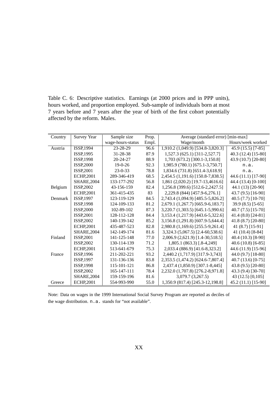Table C. 6: Descriptive statistics. Earnings (at 2000 prices and in PPP units), hours worked, and proportion employed. Sub-sample of individuals born at most 7 years before and 7 years after the year of birth of the first cohort potentially affected by the reform. Males.

| Country | <b>Survey Year</b> | Sample size       | Prop. | Average (standard error) [min-max]   |                      |  |
|---------|--------------------|-------------------|-------|--------------------------------------|----------------------|--|
|         |                    | wage-hours-status | Empl. | Wage/month                           | Hours/week worked    |  |
| Austria | ISSP, 1994         | 23-28-29          | 96.6  | 1,910.2 (1,049.9) [534.8-3,820.3]    | 45.9 (15.5) [7-85]   |  |
|         | ISSP, 1995         | 31-28-38          | 87.9  | 1,527.3 (625.1) [311-2,527.7]        | 40.3 (12.4) [15-80]  |  |
|         | ISSP, 1998         | 20-24-27          | 88.9  | 1,703 (673.2) [300.1-3,150.8]        | 43.9 (10.7) [20-80]  |  |
|         | ISSP,2000          | $19-0-26$         | 92.3  | 1,985.9 (780.1) [675.1-3,750.7]      | n.a.                 |  |
|         | ISSP,2001          | $23 - 0 - 33$     | 78.8  | 1,834.6 (731.8) [651.4-3,618.9]      | n.a.                 |  |
|         | <b>ECHP,2001</b>   | 289-346-419       | 68.5  | 2,454.5 (1,191.6) [150.8-7,838.5]    | 44.6 (11.1) [17-90]  |  |
|         | <b>SHARE, 2004</b> | 133-177-292       | 56.8  | 1,861 (2,020.2) [19.7-13,4616.6]     | 44.4 (13.4) [0-100]  |  |
| Belgium | ISSP,2002          | 43-156-159        | 82.4  | 1,256.8 (399.6) [512.6-2,2427.5]     | 44.1 (13) [20-90]    |  |
|         | <b>ECHP,2001</b>   | 361-415-435       | 83    | 2,229.8 (844) [457.9-6,276.1]        | 43.7 (9.5) [16-90]   |  |
| Denmark | ISSP, 1997         | 123-119-129       | 84.5  | 2,743.4 (1,094.9) [485.5-5,826.2]    | 40.5 (7.7) [10-70]   |  |
|         | ISSP, 1998         | 124-109-133       | 81.2  | 2,679.1 (1,267.7) [665.9-6,183.7]    | $39.9(8.5)$ [5-65]   |  |
|         | ISSP,2000          | 102-89-102        | 87.3  | 3,220.7 (1,303.5) [645.1-5,990.6]    | 40.7 $(7.5)$ [15-70] |  |
|         | ISSP,2001          | 128-112-128       | 84.4  | 3, 153.4 (1, 217.9) [443.6-5, 322.6] | 41.4 (8.0) [24-81]   |  |
|         | ISSP, 2002         | 140-139-142       | 85.2  | 3,156.8 (1,291.8) [607.9-5,644.4]    | 41.8 (8.7) [20-80]   |  |
|         | <b>ECHP,2001</b>   | 435-487-523       | 82.8  | 2,980.8 (1,169.6) [255.5-9,261.4]    | 41 (8.7) [15-91]     |  |
|         | <b>SHARE, 2004</b> | 142-149-174       | 81.6  | 3,324.3 (5,067.5) [2.4-60,538.6]     | 41 (10.4) [8-84]     |  |
| Finland | ISSP,2001          | 141-125-148       | 77.0  | 2,006.9 (2,621.9) [1.4-30,518.5]     | 40.4 (10.3) [8-90]   |  |
|         | ISSP, 2002         | 130-114-139       | 71.2  | 1,805.1 (863.3) [.8-4,249]           | $40.6(10.8)[6-85]$   |  |
|         | <b>ECHP.2001</b>   | 513-641-679       | 75.3  | 2,033.4 (886.9) [41.6-8,323.2]       | 44.6 (11.9) [15-96]  |  |
| France  | ISSP, 1996         | 211-202-221       | 93.2  | 2,440.2 (1,717.9) [317.9-3,743]      | 44.0 (9.7) [18-80]   |  |
|         | ISSP, 1997         | 131-136-136       | 83.8  | 2,353.5 (1,474.2) [624.6-7,807.4]    | 40.7 $(13.6)$ [0-75] |  |
|         | ISSP, 1998         | 115-101-121       | 86.8  | 2,437.4 (1,850.9) [307.1-8,445]      | 43.8 (9.5) [20-80]   |  |
|         | ISSP,2002          | 165-147-111       | 78.4  | 2,232.0 (1,707.8) [276.2-8,971.8]    | 43.3 (9.4) [30-70]   |  |
|         | <b>SHARE, 2004</b> | 159-159-196       | 81.6  | 3,079.7 (3,267.5)                    | 43 (12.5) [0,105]    |  |
| Greece  | <b>ECHP,2001</b>   | 554-993-990       | 55.0  | 1,350.9 (817.4) [245.3-12,198.8]     | 45.2 (11.1) [15-90]  |  |

Note: Data on wages in the 1999 International Social Survey Program are reported as deciles of the wage distribution. n.a. stands for "not available".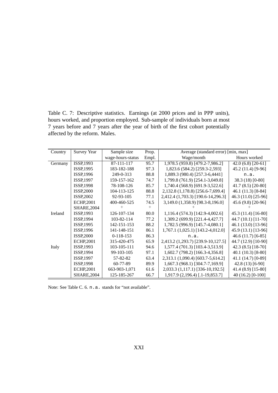Table C. 7: Descriptive statistics. Earnings (at 2000 prices and in PPP units), hours worked, and proportion employed. Sub-sample of individuals born at most 7 years before and 7 years after the year of birth of the first cohort potentially affected by the reform. Males.

| Country | <b>Survey Year</b> | Sample size       | Prop. | Average (standard error) [min, max] |                       |
|---------|--------------------|-------------------|-------|-------------------------------------|-----------------------|
|         |                    | wage-hours-status | Empl. | Wage/month                          | Hours worked          |
| Germany | ISSP, 1993         | 87-111-117        | 95.7  | 1,978.5 (959.8) [479.2-7,986.2]     | 42.0 $(6.8)$ [20-61]  |
|         | ISSP, 1995         | 183-182-188       | 97.3  | 1,823.6 (584.2) [259.3-2,593]       | 45.2 (11.4) [9-96]    |
|         | ISSP, 1996         | 249-0-313         | 88.8  | 1,889.3 (980.4) [257.3-6,4441]      | n.a.                  |
|         | ISSP, 1997         | 159-157-162       | 74.7  | 1,799.8 (761.9) [254.1-3,049.8]     | 38.3 (18) [0-80]      |
|         | <b>ISSP, 1998</b>  | 78-108-126        | 85.7  | 1,740.4 (568.9) [691.9-3,522.6]     | 41.7 (8.5) [20-80]    |
|         | ISSP,2000          | 104-113-125       | 88.8  | 2,132.8 (1,178.8) [256.6-7,699.4]   | 46.1 (11.3) [8-84]    |
|         | ISSP, 2002         | 92-93-105         | 77.1  | 2,412.4 (1,703.3) [190.6-14,296.3]  | 46.3 (11.0) [25-96]   |
|         | <b>ECHP,2001</b>   | 400-460-525       | 74.5  | 3,149.0 (1,358.9) [98.3-8,196.0]    | 45.6 (9.8) [20-96]    |
|         | <b>SHARE, 2004</b> |                   |       |                                     |                       |
| Ireland | ISSP, 1993         | 126-107-134       | 80.0  | 1,116.4 (574.3) [142.9-4,002.6]     | 45.3 (11.4) [16-80]   |
|         | ISSP, 1994         | 103-82-114        | 77.2  | 1,309.2 (699.9) [221.4-4,427.7]     | 44.7 (10.1) [11-70]   |
|         | ISSP, 1995         | 142-151-153       | 88.2  | 1,782.5 (996.9) [145.7-4,080.1]     | 46.1 (13.0) [13-96]   |
|         | ISSP, 1996         | 141-148-151       | 86.1  | 1,767.1 (1,025.1) [143.2-4,012.0]   | 45.9 (13.1) [13-96]   |
|         | <b>ISSP,2000</b>   | $0-118-153$       | 86.3  | n.a.                                | $46.6(11.7)$ [6-85]   |
|         | <b>ECHP,2001</b>   | 315-420-475       | 65.9  | 2,413.2 (1,293.7) [239.9-10,127.5]  | 44.7 (12.9) [10-90]   |
| Italy   | ISSP, 1993         | 103-105-111       | 94.6  | 1,577.4 (701.3) [103.4-3,513.9]     | 42.3 $(8.5)$ [18-70]  |
|         | ISSP, 1994         | 99-103-105        | 97.1  | 1,602.7 (798.2) [166.3-4,356.8]     | 40.1 (10.3) [8-80]    |
|         | <b>ISSP, 1997</b>  | 57-82-82          | 63.4  | 2,313.1 (1,090.4) [603.7-5,614.2]   | 41.1 (14.7) [0-89]    |
|         | <b>ISSP, 1998</b>  | 60-77-89          | 89.9  | 1,667.3 (968.1) [304.7-7,169.9]     | $42.8(13)$ [6-90]     |
|         | <b>ECHP,2001</b>   | 663-903-1,071     | 61.6  | 2,033.3 (1,117.1) [336-10,192.5]    | 41.4 (8.9) [15-80]    |
|         | <b>SHARE, 2004</b> | 125-185-267       | 66.7  | 1,917.9 (2,196.4) [.1-19,853.7]     | 40 $(16.2)$ $[0-100]$ |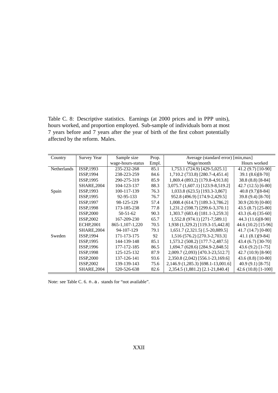Table C. 8: Descriptive statistics. Earnings (at 2000 prices and in PPP units), hours worked, and proportion employed. Sub-sample of individuals born at most 7 years before and 7 years after the year of birth of the first cohort potentially affected by the reform. Males.

| Country            | <b>Survey Year</b> | Sample size       | Prop. | Average (standard error) [min, max] |                       |  |
|--------------------|--------------------|-------------------|-------|-------------------------------------|-----------------------|--|
|                    |                    | wage-hours-status | Empl. | Wage/month                          | Hours worked          |  |
| <b>Netherlands</b> | ISSP, 1993         | 235-232-268       | 85.1  | 1,753.1 (724.9) [429-5,025.1]       | 41.2 (9.7) [10-90]    |  |
|                    | ISSP, 1994         | 238-223-259       | 84.6  | 1,710.2 (733.8) [280.7-4,451.4]     | 39.1 (8.6)[8-70]      |  |
|                    | ISSP, 1995         | 290-275-319       | 85.9  | 1,869.4 (893.2) [179.8-4,913.8]     | 38.8 (8.8) [8-84]     |  |
|                    | <b>SHARE, 2004</b> | 104-123-137       | 88.3  | 3,075.7 (1,607.1) [123.9-8,519.2]   | $42.7(12.5)[6-80]$    |  |
| Spain              | ISSP, 1993         | 100-117-139       | 76.3  | 1,033.8 (623.5) [193.3-3,867]       | $40.8(9.7)[8-84]$     |  |
|                    | ISSP, 1995         | 92-95-133         | 76.7  | 952.8 (496.9) [174.9-2,429.5]       | 39.8 (9.4) [8-70]     |  |
|                    | ISSP, 1997         | 98-125-129        | 57.4  | 1,008.4 (614.7) [189.3-3,786.2]     | 30.9 (20.9) [0-80]    |  |
|                    | <b>ISSP, 1998</b>  | 173-185-238       | 77.8  | 1,231.2 (598.7) [299.6-3,370.1]     | 43.5 (8.7) [25-80]    |  |
|                    | <b>ISSP,2000</b>   | $50 - 51 - 62$    | 90.3  | 1,303.7 (683.4) [181.1-3,259.3]     | $43.3(6.4)[35-60]$    |  |
|                    | <b>ISSP,2002</b>   | 167-209-230       | 65.7  | 1,552.8 (974.1) [271-7,589.1]       | 44.3 (11.6)[8-90]     |  |
|                    | <b>ECHP,2001</b>   | 865-1, 107-1, 220 | 70.5  | 1,938 (1,329.2) [119.3-15,442.8]    | 44.6 (10.2) [15-96]   |  |
|                    | <b>SHARE, 2004</b> | 94-107-129        | 79.1  | $1,651.7$ $(2,321.5)$ [.5-20,889.5] | $41.7(14.7)[0-80]$    |  |
| Sweden             | ISSP, 1994         | 171-173-175       | 92    | 1,516 (576.2) [270.3-2,703.3]       | $41.1(8.1)[9-84]$     |  |
|                    | ISSP, 1995         | 144-139-148       | 85.1  | 1,573.2 (508.2) [177.7-2,487.5]     | 43.4 (6.7) [30-70]    |  |
|                    | ISSP, 1996         | 177-172-185       | 86.5  | 1,694.7 (628.6) [284.9-2,848.5]     | $43.6(9.2)[1-75]$     |  |
|                    | <b>ISSP, 1998</b>  | 125-125-132       | 87.9  | 2,009.7 (2,093) [470.3-23,512.7]    | $42.7(10.9)[8-90]$    |  |
|                    | <b>ISSP,2000</b>   | 137-126-141       | 93.6  | 2,350.8 (2,042) [556.1-23,169.6]    | 43.6 (8.8) [10-80]    |  |
|                    | ISSP, 2002         | 139-139-143       | 75.6  | 2,146.9 (1,285.3) [698.1-13,001.6]  | $40.9(9.1)[8-75]$     |  |
|                    | <b>SHARE, 2004</b> | 520-526-638       | 82.6  | 2,354.5 (1,881.2) [2.1-21,840.4]    | 42.6 $(10.8)$ [1-100] |  |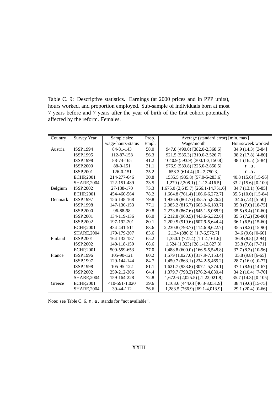Table C. 9: Descriptive statistics. Earnings (at 2000 prices and in PPP units), hours worked, and proportion employed. Sub-sample of individuals born at most 7 years before and 7 years after the year of birth of the first cohort potentially affected by the reform. Females.

| Country | <b>Survey Year</b>            | Sample size       | Prop. | Average (standard error) [min, max] |                     |  |
|---------|-------------------------------|-------------------|-------|-------------------------------------|---------------------|--|
|         |                               | wage-hours-status | Empl. | Wage/month                          | Hours/week worked   |  |
| Austria | $\overline{\text{ISSP},1994}$ | 84-81-143         | 58.0  | 947.8 (490.0) [382.0-2,368.6]       | 34.9 (14.3) [3-84]  |  |
|         | ISSP, 1995                    | 112-87-158        | 56.3  | 921.5 (535.3) [310.0-2,526.7]       | 38.2 (17.8) [4-80]  |  |
|         | <b>ISSP.1998</b>              | 88-74-165         | 41.2  | 1040.9 (593.9) [300.1-3,150.8]      | 38.1 (16.5) [5-84]  |  |
|         | ISSP,2000                     | 88-0-151          | 31.1  | 976.9 (539.8) [225.0-2,850.5]       | n.a.                |  |
|         | ISSP, 2001                    | 126-0-151         | 25.2  | 658.3 (614.4) [0 - 2,750.3]         | n.a.                |  |
|         | <b>ECHP,2001</b>              | 214-277-646       | 30.8  | 1535.5 (935.8) [57.0-5-283.6]       | 40.8 (15.6) [15-96] |  |
|         | <b>SHARE, 2004</b>            | 122-151-489       | 23.5  | $1,270$ $(2,208.1)$ [.1-13-416.5]   | 33.2 (15.6) [0-100] |  |
| Belgium | ISSP,2002                     | 27-138-170        | 75.3  | 1,675.0 (2,645.7) [266.1-14,751.6]  | $34.7(13.1)[6-85]$  |  |
|         | <b>ECHP,2001</b>              | 454-460-564       | 78.2  | 1,664.8 (761.4) [106.6-6,272.7]     | 35.5 (10.0) [15-84] |  |
| Denmark | ISSP, 1997                    | 156-148-168       | 79.8  | 1,936.9 (861.7) [455.5-5,826.2]     | 34.6 (7.4) [5-50]   |  |
|         | <b>ISSP,1998</b>              | 147-130-153       | 77.1  | 2,085.2 (816.7) [665.9-6,183.7]     | 35.8 (7.0) [18-75]  |  |
|         | ISSP,2000                     | 96-88-98          | 89.8  | 2,273.8 (867.6) [645.1-5,068.9]     | 35.5 (8.4) [10-60]  |  |
|         | ISSP, 2001                    | 134-119-136       | 86.0  | 2,212.8 (960.5) [443.6-5,322.6]     | 35.5 (7.2) [20-80]  |  |
|         | ISSP, 2002                    | 197-192-201       | 80.1  | 2,209.5 (919.6) [607.9-5,644.4]     | 36.1 (6.5) [15-60]  |  |
|         | <b>ECHP,2001</b>              | 434-441-511       | 83.6  | 2,230.8 (793.7) [114.6-8,622.7]     | 35.5 (8.2) [15-90]  |  |
|         | <b>SHARE, 2004</b>            | 179-179-207       | 83.6  | 2,134 (886.2) [1.7-6,572.7]         | 34.6 $(9.6)$ [0-60] |  |
| Finland | ISSP,2001                     | 164-132-187       | 65.2  | 1,350.1 (727.4) [1.1-4,161.6]       | 36.8 (8.5) [2-94]   |  |
|         | ISSP,2002                     | 140-118-159       | 68.6  | 1,524 (1,323) [28.1-12,827.3]       | $35.8(7.8)[7-71]$   |  |
|         | <b>ECHP,2001</b>              | 509-559-653       | 77.0  | 1,488.8 (600.0) [166.5-5,548.8]     | 37.7 (8.3) [10-96]  |  |
| France  | ISSP,1996                     | 105-90-121        | 80.2  | 1,579 (1,027.6) [317.9-7,153.4]     | $35.8(9.8)[6-65]$   |  |
|         | ISSP, 1997                    | 129-144-144       | 84.7  | 1,450.7 (863.1) [234.2-5,465.2]     | 28.7 (16.0) [0-77]  |  |
|         | <b>ISSP,1998</b>              | 105-95-122        | 81.1  | 1,621.7 (933.8) [307.1-5,374.1]     | 37.1 (8.9) [14-67]  |  |
|         | ISSP, 2002                    | 259-212-306       | 64.4  | 1,379.7 (798.2) [276.2-4,830.4]     | 34.2 (10.4) [7-70]  |  |
|         | <b>SHARE, 2004</b>            | 159-164-228       | 72.8  | 1,672.6 (2,025.5) [.1-22,021.8]     | 35.7 (14.3) [0-105] |  |
| Greece  | <b>ECHP,2001</b>              | 410-591-1,020     | 39.6  | 1,103.6 (444.6) [46.3-3,051.9]      | 38.4 (9.6) [15-75]  |  |
|         | <b>SHARE, 2004</b>            | 39-44-112         | 36.6  | 1,283.5 (766.9) [69.1-4,013.9]      | 29.1 (20.4) [0-66]  |  |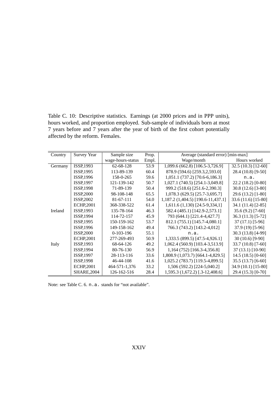Table C. 10: Descriptive statistics. Earnings (at 2000 prices and in PPP units), hours worked, and proportion employed. Sub-sample of individuals born at most 7 years before and 7 years after the year of birth of the first cohort potentially affected by the reform. Females.

| Country | <b>Survey Year</b> | Sample size       | Prop. | Average (standard error) [min-max]  |                      |
|---------|--------------------|-------------------|-------|-------------------------------------|----------------------|
|         |                    | wage-hours-status | Empl. | Wage/month                          | Hours worked         |
| Germany | ISSP, 1993         | 62-68-128         | 53.9  | 1,099.6 (662.8) [106.5-3,726.9]     | $32.5(10.3)[12-60]$  |
|         | ISSP, 1995         | 113-89-139        | 60.4  | 878.9 (594.6) [259.3,2,593.0]       | 28.4 (10.8) [9-50]   |
|         | ISSP, 1996         | 158-0-265         | 59.6  | 1,051.1 (737.2) [70.6-6,186.3]      | n.a.                 |
|         | ISSP, 1997         | 121-139-142       | 50.7  | 1,027.1 (740.5) [254.1-3,049.8]     | 22.2 (18.2) [0-80]   |
|         | <b>ISSP, 1998</b>  | 71-89-139         | 50.4  | 999.2 (518.6) [251.6-2,390.3]       | $30.8(12.6)$ [3-80]  |
|         | ISSP,2000          | 98-108-148        | 65.5  | 1,078.3 (629.5) [25.7-3,695.7]      | 29.6 (13.2) [1-80]   |
|         | ISSP,2002          | 81-67-111         | 54.0  | 1,187.2 (1,404.5) [190.6-11,437.1]  | 33.6 (11.6) [15-80]  |
|         | <b>ECHP,2001</b>   | 368-338-522       | 61.4  | $1,611.6(1,130)$ [24.5-9,334,1]     | 34.1 (11.4) [2-85]   |
| Ireland | ISSP, 1993         | 135-78-164        | 46.3  | 582.4 (485.1) [142.9-2,573.1]       | 35.6 (9.2) [7-60]    |
|         | ISSP, 1994         | 114-72-157        | 45.9  | 793 (644.1) [221.4-4,427.7]         | 36.3 (11.3) [5-72]   |
|         | ISSP, 1995         | 150-159-162       | 53.7  | 812.1 (755.1) [145.7-4,080.1]       | $37(17.1)$ [5-96]    |
|         | ISSP, 1996         | 149-158-162       | 49.4  | 766.3 (743.2) [143.2-4,012]         | 37.9 (19) [5-96]     |
|         | ISSP,2000          | $0-103-196$       | 55.1  | n.a.                                | 30.3 (13.8) [4-99]   |
|         | <b>ECHP,2001</b>   | 277-269-493       | 50.9  | 1,333.5 (899.5) [47.5-4,926.1]      | 30 (10.6) [9-90]     |
| Italy   | ISSP, 1993         | 68-64-126         | 49.2  | 1,062.4 (560.9) [103.4-3,513.9]     | 33.7 (10.8) [7-60]   |
|         | <b>ISSP, 1994</b>  | 80-76-130         | 56.9  | 1,164 (752) [166.3-4,356.8]         | 37 (13.1) [10-90]    |
|         | <b>ISSP, 1997</b>  | 28-113-116        | 33.6  | 1,808.9 (1,073.7) [664.1-4,829.5]   | 14.5 $(18.5)$ [0-60] |
|         | <b>ISSP, 1998</b>  | 46-44-108         | 41.6  | 1,025.2 (783.7) [119.5-4,899.5]     | 35.5 (13.7) [6-60]   |
|         | <b>ECHP,2001</b>   | 464-571-1,376     | 33.2  | 1,506 (592.2) [224-5,040.2]         | 34.9 (10.1) [15-80]  |
|         | <b>SHARE, 2004</b> | 126-162-516       | 28.4  | $1,595.3$ $(1,672.2)$ [.3-12,408.6] | 29.4 (15.3) [0-70]   |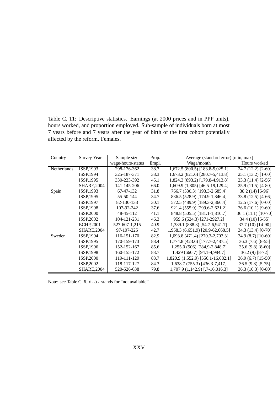Table C. 11: Descriptive statistics. Earnings (at 2000 prices and in PPP units), hours worked, and proportion employed. Sub-sample of individuals born at most 7 years before and 7 years after the year of birth of the first cohort potentially affected by the reform. Females.

| Country     | <b>Survey Year</b> | Sample size       | Prop. | Average (standard error) [min, max] |                     |  |
|-------------|--------------------|-------------------|-------|-------------------------------------|---------------------|--|
|             |                    | wage-hours-status | Empl. | Wage/month                          | Hours worked        |  |
| Netherlands | ISSP, 1993         | 298-176-362       | 38.7  | $1,672.5$ (800.5) [183.8-5,025.1]   | 24.7 (12.2) [2-60]  |  |
|             | ISSP, 1994         | 325-187-371       | 38.3  | 1,673.2 (821.6) [280.7-5,413.8]     | $25.1(13.2)[1-60]$  |  |
|             | ISSP, 1995         | 330-223-392       | 45.1  | 1,824.3 (893.2) [179.8-4,913.8]     | 23.3 (11.4) [2-56]  |  |
|             | <b>SHARE, 2004</b> | 141-145-206       | 66.0  | 1,609.9 (1,805) [46.5-19,129.4]     | 25.9 (11.5) [4-80]  |  |
| Spain       | ISSP, 1993         | 67-47-132         | 31.8  | 766.7 (530.3) [193.3-2.685.4]       | $38.2(14)$ [6-96]   |  |
|             | ISSP, 1995         | 55-50-144         | 34.7  | 836.5 (528.9) [174.9-1,846.4]       | $33.8(12.5)[4-66]$  |  |
|             | <b>ISSP, 1997</b>  | 82-130-133        | 30.1  | 572.5 (489.9) [189.3-2,366.4]       | $12.5(17.6)[0-60]$  |  |
|             | <b>ISSP.1998</b>   | 107-92-242        | 37.6  | 921.4 (555.9) [299.6-2,621.2]       | $36.6(10.1)[9-60]$  |  |
|             | <b>ISSP,2000</b>   | 48-45-112         | 41.1  | 848.8 (505.5) [181.1-1,810.7]       | 36.1 (11.1) [10-70] |  |
|             | ISSP, 2002         | 104-121-231       | 46.3  | 959.6 (524.3) [271-2927.2]          | $34.4(10)$ [6-55]   |  |
|             | <b>ECHP,2001</b>   | 527-607-1,215     | 40.9  | 1,389.1 (888.3) [54.7-6,941.7]      | 37.7 (10) [14-90]   |  |
|             | <b>SHARE, 2004</b> | 97-107-225        | 42.7  | 1,958.3 (6,651.9) [20.9-62,668.5]   | 34.3 (13.4) [0-70]  |  |
| Sweden      | ISSP, 1994         | 116-151-170       | 82.9  | 1,093.8 (471.4) [270.3-2,703.3]     | 34.9 (8.7) [10-60]  |  |
|             | ISSP, 1995         | 170-159-173       | 88.4  | 1,774.8 (423.6) [177.7-2,487.5]     | $36.3(7.6)[8-55]$   |  |
|             | ISSP, 1996         | 152-152-167       | 85.6  | 1,255.0 (506) [284,9-2,848.7]       | $35.6(9.8)[8-60]$   |  |
|             | <b>ISSP, 1998</b>  | 160-155-172       | 83.7  | 1,429 (660.7) [94.1-4,984.7]        | $36.2(9)$ [8-72]    |  |
|             | <b>ISSP,2000</b>   | 119-111-129       | 83.7  | 1,820.9 (1,552.9) [556.1-16,682.1]  | 36.9 (6.7) [15-50]  |  |
|             | ISSP, 2002         | 118-117-127       | 84.3  | 1,638.7 (755.3) [436.3-7,417]       | $36.5(9.8)[5-75]$   |  |
|             | <b>SHARE, 2004</b> | 520-526-638       | 79.8  | $1,707.9(1,142.9)$ [.7-16,016.3]    | 36.3 (10.3) [0-80]  |  |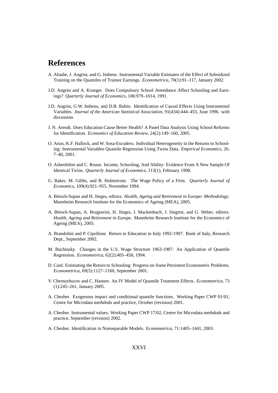# **References**

- A. Abadie, J. Angrist, and G. Imbens. Instrumental Variable Estimates of the Effect of Subsidized Training on the Quantiles of Trainee Earnings. *Econometrica*, 70(1):91–117, January 2002.
- J.D. Angrist and A. Krueger. Does Compulsory School Attendance Affect Schooling and Earnings? *Quarterly Journal of Economics*, 106:979–1014, 1991.
- J.D. Angrist, G.W. Imbens, and D.B. Rubin. Identification of Causal Effects Using Instrumental Variables. *Journal of the American Statistical Association*, 91(434):444–455, June 1996. with discussion.
- J. N. Arendt. Does Education Cause Better Health? A Panel Data Analysis Using School Reforms for Identification. *Economics of Education Review*, 24(2):149–160, 2005.
- O. Arias, K.F. Hallock, and W. Sosa-Escudero. Individual Heterogeneity in the Returns to Schooling: Instrumental Variables Quantile Regression Using Twins Data. *Empirical Economics*, 26: 7–40, 2001.
- O. Ashenfelter and C. Rouse. Income, Schooling, And Ability: Evidence From A New Sample Of Identical Twins. *Quarterly Journal of Economics*, 113(1), February 1998.
- G. Baker, M. Gibbs, and B. Holmstrom. The Wage Policy of a Firm. *Quarterly Journal of Economics*, 109(4):921–955, November 1994.
- A. Börsch-Supan and H. Jürges, editors. Health, Ageing and Retirement in Europe- Methodology. Mannheim Research Institute for the Economics of Ageing (MEA), 2005.
- A. Börsch-Supan, A. Brugiavini, H. Jürges, J. Mackenbach, J. Siegrist, and G. Weber, editors. *Health, Ageing and Retirement in Europe*. Mannheim Research Institute for the Economics of Ageing (MEA), 2005.
- A. Brandolini and P. Cipollone. Return to Education in Italy 1992-1997. Bank of Italy, Research Dept., September 2002.
- M. Buchinsky. Changes in the U.S. Wage Structure 1963-1987: An Application of Quantile Regression. *Econometrica*, 62(2):405–458, 1994.
- D. Card. Estimating the Return to Schooling: Progress on Some Persistent Econometric Problems. *Econometrica*, 69(5):1127–1160, September 2001.
- V. Chernozhucov and C. Hansen. An IV Model of Quantile Treatment Effects. *Econometrica*, 73 (1):245–261, January 2005.
- A. Chesher. Exogenous impact and conditional quantile functions. Working Paper CWP 01/01, Centre for Microdata methdods and practice, October (revision) 2001.
- A. Chesher. Instrumental values. Working Paper CWP 17/02, Centre for Microdata methdods and practice, September (revision) 2002.
- A. Chesher. Identification in Nonseparable Models. *Econometrica*, 71:1405–1441, 2003.

#### XXVI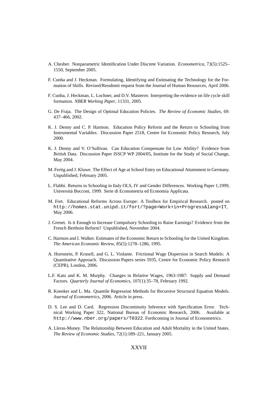- A. Chesher. Nonparametric Identification Under Discrete Variation. *Econometrica*, 73(5):1525– 1550, September 2005.
- F. Cunha and J. Heckman. Formulating, Identifying and Estimating the Technology for the Formation of Skills. Revised/Resubmit request from the Journal of Human Resources, April 2006.
- F. Cunha, J. Heckman, L. Lochner, and D.V. Masterov. Interpreting the evidence on life cycle skill formation. *NBER Working Paper*, 11331, 2005.
- G. De Fraja. The Design of Optimal Education Policies. *The Review of Economic Studies*, 69: 437–466, 2002.
- K. J. Denny and C. P. Harmon. Education Policy Reform and the Return to Schooling from Instrumental Variables. Discussion Paper 2518, Centre for Economic Policy Research, July 2000.
- K. J. Denny and V. O'Sullivan. Can Education Compensate for Low Ability? Evidence from British Data. Discussion Paper ISSCP WP 2004/05, Institute for the Study of Social Change, May 2004.
- M. Fertig and J. Kluwe. The Effect of Age at School Entry on Educational Attainment in Germany. Unpublished, February 2005.
- L. Flabbi. Returns to Schooling in Italy OLS, IV and Gender Differences. Working Paper 1,1999, Università Bocconi, 1999. Serie di Econometria ed Economia Applicata.
- M. Fort. Educational Reforms Across Europe: A Toolbox for Empirical Research. posted on http://homes.stat.unipd.it/fort/?page=Work+in+Progress&lang=IT, May 2006.
- J. Grenet. Is it Enough to Increase Compulsory Schooling to Raise Earnings? Evidence from the French Berthoin Reform? Unpublished, November 2004.
- C. Harmon and I. Walker. Estimates of the Economic Return to Schooling for the United Kingdom. *The American Economic Review*, 85(5):1278–1286, 1995.
- A. Hornstein, P. Krusell, and G. L. Violante. Frictional Wage Dispersion in Search Models: A Quantitative Approach. Discussion Papers series 5935, Centre for Economic Policy Research (CEPR), London, 2006.
- L.F. Katz and K. M. Murphy. Changes in Relative Wages, 1963-1987: Supply and Demand Factors. *Quarterly Journal of Economics*, 107(1):35–78, February 1992.
- R. Koenker and L. Ma. Quantile Regression Methods for Recursive Structural Equation Models. *Journal of Econometrics*, 2006. Article in press.
- D. S. Lee and D. Card. Regression Discontinuity Inference with Specification Error. Technical Working Paper 322, National Bureau of Economic Research, 2006. Available at http://www.nber.org/papers/T0322. Forthcoming in Journal of Econometrics.
- A. Lleras-Muney. The Relationship Between Education and Adult Mortality in the United States. *The Review of Economic Studies*, 72(1):189–221, January 2005.

#### XXVII